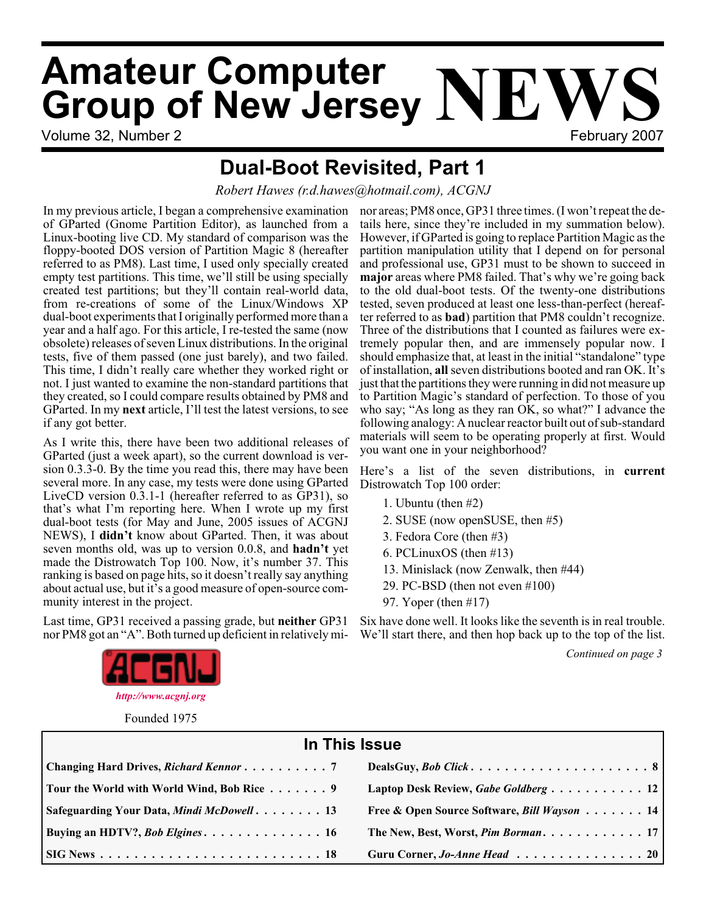# **Amateur Computer<br>Group of New Jersey NEWS**<br>Volume 32, Number 2 **Amateur Computer**

## **Dual-Boot Revisited, Part 1**

*Robert Hawes (r.d.hawes@hotmail.com), ACGNJ*

In my previous article, I began a comprehensive examination nor areas; PM8 once, GP31 three times. (I won't repeat the deof GParted (Gnome Partition Editor), as launched from a Linux-booting live CD. My standard of comparison was the floppy-booted DOS version of Partition Magic 8 (hereafter referred to as PM8). Last time, I used only specially created empty test partitions. This time, we'll still be using specially created test partitions; but they'll contain real-world data, from re-creations of some of the Linux/Windows XP dual-boot experiments that I originally performed more than a year and a half ago. For this article, I re-tested the same (now obsolete) releases of seven Linux distributions. In the original tests, five of them passed (one just barely), and two failed. This time, I didn't really care whether they worked right or not. I just wanted to examine the non-standard partitions that they created, so I could compare results obtained by PM8 and GParted. In my **next** article, I'll test the latest versions, to see if any got better.

As I write this, there have been two additional releases of GParted (just a week apart), so the current download is version 0.3.3-0. By the time you read this, there may have been several more. In any case, my tests were done using GParted LiveCD version 0.3.1-1 (hereafter referred to as GP31), so that's what I'm reporting here. When I wrote up my first dual-boot tests (for May and June, 2005 issues of ACGNJ NEWS), I **didn't** know about GParted. Then, it was about seven months old, was up to version 0.0.8, and **hadn't** yet made the Distrowatch Top 100. Now, it's number 37. This ranking is based on page hits, so it doesn't really say anything about actual use, but it's a good measure of open-source community interest in the project.

Last time, GP31 received a passing grade, but **neither** GP31 nor PM8 got an "A". Both turned up deficient in relatively mitails here, since they're included in my summation below). However, if GParted is going to replace Partition Magic as the partition manipulation utility that I depend on for personal and professional use, GP31 must to be shown to succeed in **major** areas where PM8 failed. That's why we're going back to the old dual-boot tests. Of the twenty-one distributions tested, seven produced at least one less-than-perfect (hereafter referred to as **bad**) partition that PM8 couldn't recognize. Three of the distributions that I counted as failures were extremely popular then, and are immensely popular now. I should emphasize that, at least in the initial "standalone" type of installation, **all**seven distributions booted and ran OK. It's just that the partitions they were running in did not measure up to Partition Magic's standard of perfection. To those of you who say; "As long as they ran OK, so what?" I advance the following analogy: A nuclear reactor built out of sub-standard materials will seem to be operating properly at first. Would you want one in your neighborhood?

Here's a list of the seven distributions, in **current** Distrowatch Top 100 order:

- 1. Ubuntu (then #2)
- 2. SUSE (now openSUSE, then #5)
- 3. Fedora Core (then #3)
- 6. PCLinuxOS (then #13)
- 13. Minislack (now Zenwalk, then #44)
- 29. PC-BSD (then not even #100)
- 97. Yoper (then #17)

Six have done well. It looks like the seventh is in real trouble. We'll start there, and then hop back up to the top of the list.

*Continued on page 3*



Founded 1975

| In This Issue                               |                                                                   |  |  |  |
|---------------------------------------------|-------------------------------------------------------------------|--|--|--|
|                                             |                                                                   |  |  |  |
| Tour the World with World Wind, Bob Rice  9 | Laptop Desk Review, Gabe Goldberg 12                              |  |  |  |
| Safeguarding Your Data, Mindi McDowell. 13  | Free & Open Source Software, Bill Wayson 14                       |  |  |  |
|                                             |                                                                   |  |  |  |
| $SIG News \n \n \n \n \n \n \n \n18$        | Guru Corner, Jo-Anne Head $\ldots \ldots \ldots \ldots \ldots 20$ |  |  |  |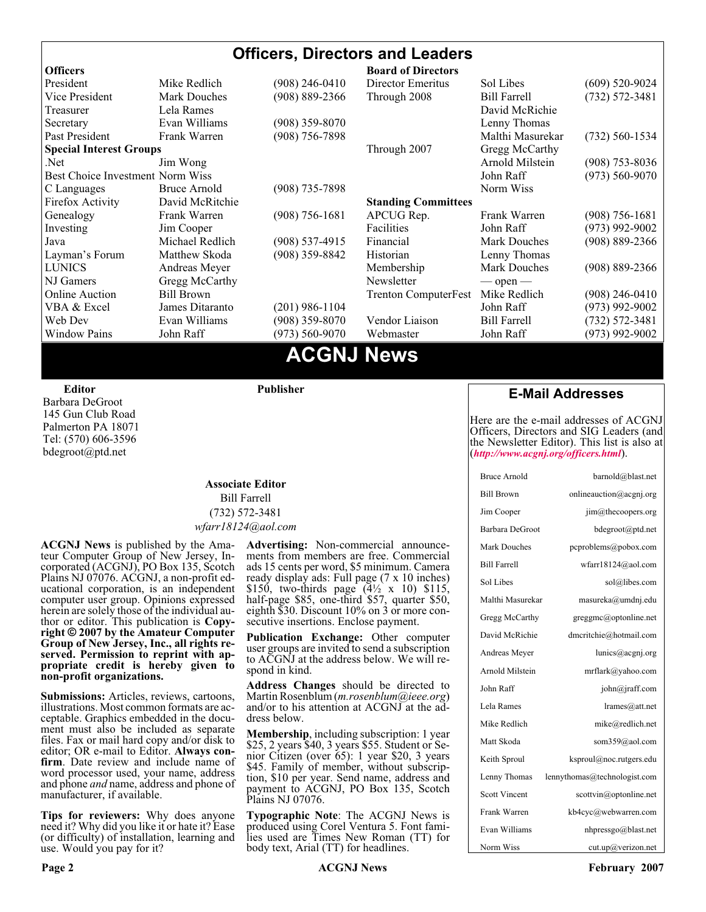#### **Officers, Directors and Leaders Officers Board of Directors**<br> **President Director Mike Redlich** (908) 246-0410 Director Emeritus President Mike Alexander Mike Sol Libes (609) 520-9024<br>
President Mike Bill Farrell (732) 572-3481<br>
President Mike Bill Farrell (732) 572-3481 Vice President Mark Douches (908) 889-2366 Through 2008 Bill Farrell (732) 572-3481 Treasurer Lela Rames **David McRichie** David McRichie Secretary Evan Williams (908) 359-8070 Lenny Thomas Past President Frank Warren (908) 756-7898 Malthi Masurekar (732) 560-1534 **Special Interest Groups** Through 2007 Gregg McCarthy Net Jim Wong 31 Jim Wong 2008) 353-8036 Best Choice Investment Norm Wiss<br>
C Languages Bruce Arnold (908) 735-7898 (908) 700 Morm Wiss (973) 560-9070 C Languages Bruce Arnold (908) 735-7898<br>Firefox Activity David McRitchie Firefox Activity David McRitchie **Standing Committees** Genealogy Frank Warren (908) 756-1681 APCUG Rep. Frank Warren (908) 756-1681 Investing Jim Cooper Facilities Facilities John Raff (973) 992-9002<br>Java Michael Redlich (908) 537-4915 Financial Mark Douches (908) 889-2366 Java Michael Redlich (908) 537-4915 Financial Mark Douches (908) 889-2366 Layman's Forum Matthew Skoda (908) 359-8842 Historian Lenny Thomas LUNICS Andreas Meyer Membership Mark Douches (908) 889-2366 NJ Gamers Gregg McCarthy Newsletter — open — open — Online Auction Bill Brown Trenton ComputerFest Mike Redlich (908) 246-0410 VBA & Excel James Ditaranto (201) 986-1104 John Raff (973) 992-9002 Web Dev Evan Williams (908) 359-8070 Vendor Liaison Bill Farrell (732) 572-3481 Window Pains John Raff (973) 560-9070 Webmaster John Raff (973) 992-9002

## **ACGNJ News**

**Editor**

Barbara DeGroot 145 Gun Club Road Palmerton PA 18071 Tel: (570) 606-3596 bdegroot@ptd.net

#### **Publisher**

#### **Associate Editor** Bill Farrell (732) 572-3481 *wfarr18124@aol.com*

**ACGNJ News** is published by the Ama- teur Computer Group of New Jersey, In- corporated (ACGNJ), PO Box 135, Scotch Plains NJ 07076. ACGNJ, a non-profit ed-<br>ucational corporation, is an independent computer user group. Opinions expressed<br>herein are solely those of the individual author or editor. This publication is **Copy-**<br>right © 2007 by the Amateur Computer<br>Group of New Jersey, Inc., all rights re-**Group of New Jersey, Inc., all rights re- served. Permission to reprint with ap- propriate credit is hereby given to non-profit organizations.**

**Submissions:** Articles, reviews, cartoons, illustrations. Most common formats are acceptable. Graphics embedded in the docu-<br>ment must also be included as separate files. Fax or mail hard copy and/or disk to editor: OR e-mail to Editor. **Always con**firm. Date review and include name of word processor used, your name, address and phone *and* name, address and phone of manufacturer, if available.

**Tips for reviewers:** Why does anyone need it? Why did you like it or hate it? Ease (or difficulty) of installation, learning and use. Would you pay for it?

**Advertising:** Non-commercial announce- ments from members are free. Commercial ads 15 cents per word, \$5 minimum. Camera ready display ads: Full page (7 x 10 inches) \$150, two-thirds page (4½ x 10) \$115, half-page \$85, one-third \$57, quarter \$50, eighth \$30. Discount 10% on 3 or more con- secutive insertions. Enclose payment.

**Publication Exchange:** Other computer user groups are invited to send a subscription to ACGNJ at the address below. We will re- spond in kind.

**Address Changes** should be directed to Martin Rosenblum (*m.rosenblum@ieee.org*) and/or to his attention at ACGNJ at the ad- dress below.

**Membership**, including subscription: 1 year \$25, 2 years \$40, 3 years \$55. Student or Senior Citizen (over 65): 1 year \$20, 3 years \$45. Family of member, without subscription, \$10 per year. Send name, address and payment to ACGNJ, PO Box 135, Scotch Plains NJ 07076.

**Typographic Note**: The ACGNJ News is produced using Corel Ventura 5. Font fami- lies used are Times New Roman (TT) for body text, Arial (TT) for headlines.

### **E-Mail Addresses**

Here are the e-mail addresses of ACGNJ Officers, Directors and SIG Leaders (and the Newsletter Editor). This list is also at (*<http://www.acgnj.org/officers.html>*).

| <b>Bruce Arnold</b>  | barnold@blast.net                    |
|----------------------|--------------------------------------|
| <b>Bill Brown</b>    | onlineauction@acgnj.org              |
| Jim Cooper           | $\lim$ ( <i>a</i> ) the coopers or g |
| Barbara DeGroot      | bdegroot@ptd.net                     |
| <b>Mark Douches</b>  | pcproblems@pobox.com                 |
| <b>Bill Farrell</b>  | wfarr18124@aol.com                   |
| Sol Libes            | sol@libes.com                        |
| Malthi Masurekar     | masureka@umdnj.edu                   |
| Gregg McCarthy       | greggmc@optonline.net                |
| David McRichie       | dmcritchie@hotmail.com               |
| Andreas Meyer        | lunics@acgnj.org                     |
| Arnold Milstein      | mrflark@yahoo.com                    |
| John Raff            | john@jraff.com                       |
| Lela Rames           | $l$ rames $@at$ .net                 |
| Mike Redlich         | mike@redlich.net                     |
| Matt Skoda           | som359@aol.com                       |
| Keith Sproul         | ksproul@noc.rutgers.edu              |
| Lenny Thomas         | lennythomas@technologist.com         |
| <b>Scott Vincent</b> | scottvin@optonline.net               |
| Frank Warren         | kb4cyc@webwarren.com                 |
| Evan Williams        | nhpressgo@blast.net                  |
| Norm Wiss            | cut.up@verizon.net                   |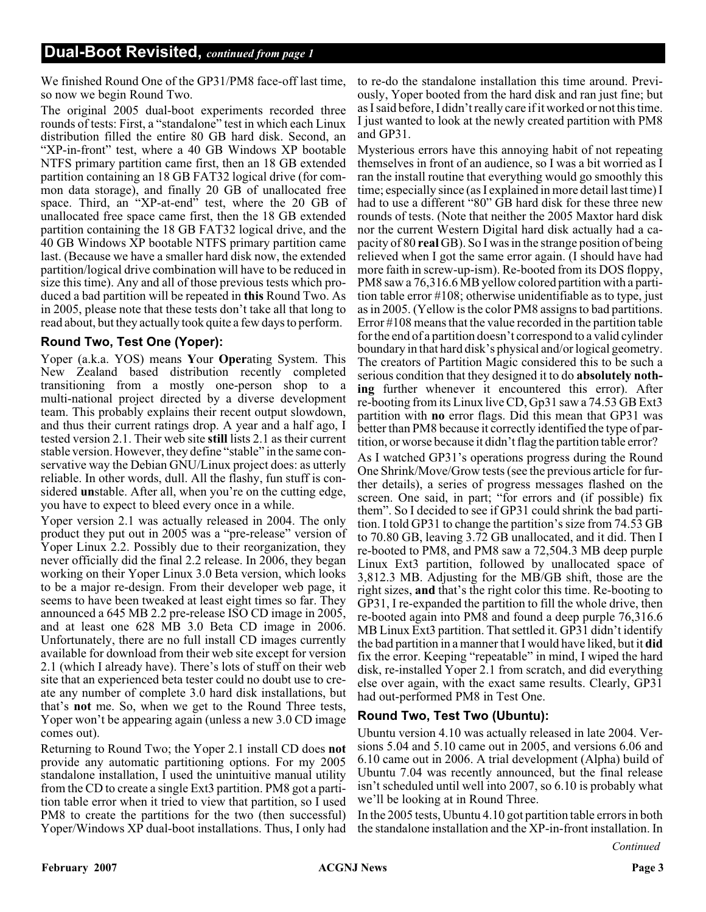We finished Round One of the GP31/PM8 face-off last time, so now we begin Round Two.

The original 2005 dual-boot experiments recorded three rounds of tests: First, a "standalone" test in which each Linux distribution filled the entire 80 GB hard disk. Second, an "XP-in-front" test, where a 40 GB Windows XP bootable NTFS primary partition came first, then an 18 GB extended partition containing an 18 GB FAT32 logical drive (for common data storage), and finally 20 GB of unallocated free space. Third, an "XP-at-end" test, where the 20 GB of unallocated free space came first, then the 18 GB extended partition containing the 18 GB FAT32 logical drive, and the 40 GB Windows XP bootable NTFS primary partition came last. (Because we have a smaller hard disk now, the extended partition/logical drive combination will have to be reduced in size this time). Any and all of those previous tests which produced a bad partition will be repeated in **this** Round Two. As in 2005, please note that these tests don't take all that long to read about, but they actually took quite a few days to perform.

#### **Round Two, Test One (Yoper):**

Yoper (a.k.a. YOS) means **Y**our **Oper**ating System. This New Zealand based distribution recently completed transitioning from a mostly one-person shop to a multi-national project directed by a diverse development team. This probably explains their recent output slowdown, and thus their current ratings drop. A year and a half ago, I tested version 2.1. Their web site **still** lists 2.1 as their current stable version. However, they define "stable" in the same conservative way the Debian GNU/Linux project does: as utterly reliable. In other words, dull. All the flashy, fun stuff is considered **un**stable. After all, when you're on the cutting edge, you have to expect to bleed every once in a while.

Yoper version 2.1 was actually released in 2004. The only product they put out in 2005 was a "pre-release" version of Yoper Linux 2.2. Possibly due to their reorganization, they never officially did the final 2.2 release. In 2006, they began working on their Yoper Linux 3.0 Beta version, which looks to be a major re-design. From their developer web page, it seems to have been tweaked at least eight times so far. They announced a 645 MB 2.2 pre-release ISO CD image in 2005, and at least one 628 MB 3.0 Beta CD image in 2006. Unfortunately, there are no full install CD images currently available for download from their web site except for version 2.1 (which I already have). There's lots of stuff on their web site that an experienced beta tester could no doubt use to create any number of complete 3.0 hard disk installations, but that's **not** me. So, when we get to the Round Three tests, Yoper won't be appearing again (unless a new 3.0 CD image comes out).

Returning to Round Two; the Yoper 2.1 install CD does **not** provide any automatic partitioning options. For my 2005 standalone installation, I used the unintuitive manual utility from the CD to create a single Ext3 partition. PM8 got a partition table error when it tried to view that partition, so I used PM8 to create the partitions for the two (then successful) Yoper/Windows XP dual-boot installations. Thus, I only had

to re-do the standalone installation this time around. Previously, Yoper booted from the hard disk and ran just fine; but as I said before, I didn't really care if it worked or not this time. I just wanted to look at the newly created partition with PM8 and GP31.

Mysterious errors have this annoying habit of not repeating themselves in front of an audience, so I was a bit worried as I ran the install routine that everything would go smoothly this time; especially since (as I explained in more detail last time) I had to use a different "80" GB hard disk for these three new rounds of tests. (Note that neither the 2005 Maxtor hard disk nor the current Western Digital hard disk actually had a capacity of 80 **real** GB). So I was in the strange position of being relieved when I got the same error again. (I should have had more faith in screw-up-ism). Re-booted from its DOS floppy, PM8 saw a 76,316.6 MB yellow colored partition with a partition table error #108; otherwise unidentifiable as to type, just as in 2005. (Yellow is the color PM8 assigns to bad partitions. Error #108 means that the value recorded in the partition table for the end of a partition doesn't correspond to a valid cylinder boundary in that hard disk's physical and/or logical geometry. The creators of Partition Magic considered this to be such a serious condition that they designed it to do **absolutely nothing** further whenever it encountered this error). After re-booting from its Linux live CD, Gp31 saw a 74.53 GB Ext3 partition with **no** error flags. Did this mean that GP31 was better than PM8 because it correctly identified the type of partition, or worse because it didn't flag the partition table error?

As I watched GP31's operations progress during the Round One Shrink/Move/Grow tests (see the previous article for further details), a series of progress messages flashed on the screen. One said, in part; "for errors and (if possible) fix them". So I decided to see if GP31 could shrink the bad partition. I told GP31 to change the partition's size from 74.53 GB to 70.80 GB, leaving 3.72 GB unallocated, and it did. Then I re-booted to PM8, and PM8 saw a 72,504.3 MB deep purple Linux Ext3 partition, followed by unallocated space of 3,812.3 MB. Adjusting for the MB/GB shift, those are the right sizes, **and** that's the right color this time. Re-booting to GP31, I re-expanded the partition to fill the whole drive, then re-booted again into PM8 and found a deep purple 76,316.6 MB Linux Ext3 partition. That settled it. GP31 didn't identify the bad partition in a manner that I would have liked, but it **did** fix the error. Keeping "repeatable" in mind, I wiped the hard disk, re-installed Yoper 2.1 from scratch, and did everything else over again, with the exact same results. Clearly, GP31 had out-performed PM8 in Test One.

### **Round Two, Test Two (Ubuntu):**

Ubuntu version 4.10 was actually released in late 2004. Versions 5.04 and 5.10 came out in 2005, and versions 6.06 and 6.10 came out in 2006. A trial development (Alpha) build of Ubuntu 7.04 was recently announced, but the final release isn't scheduled until well into 2007, so 6.10 is probably what we'll be looking at in Round Three.

In the 2005 tests, Ubuntu 4.10 got partition table errors in both the standalone installation and the XP-in-front installation. In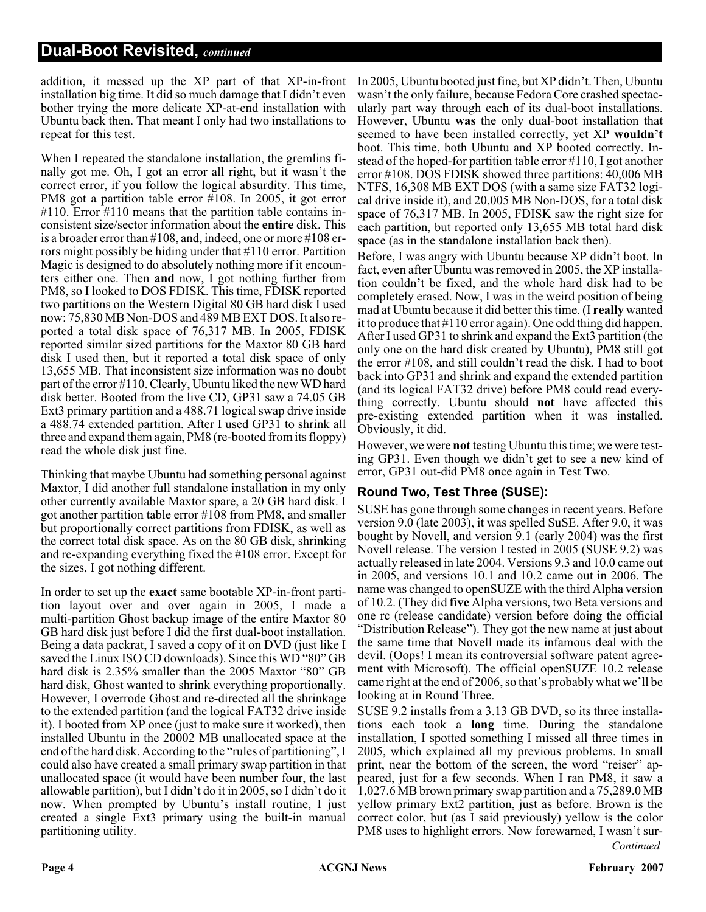### **Dual-Boot Revisited,** *continued*

addition, it messed up the XP part of that XP-in-front installation big time. It did so much damage that I didn't even bother trying the more delicate XP-at-end installation with Ubuntu back then. That meant I only had two installations to repeat for this test.

When I repeated the standalone installation, the gremlins finally got me. Oh, I got an error all right, but it wasn't the correct error, if you follow the logical absurdity. This time, PM8 got a partition table error #108. In 2005, it got error #110. Error #110 means that the partition table contains inconsistent size/sector information about the **entire** disk. This is a broader error than #108, and, indeed, one or more #108 errors might possibly be hiding under that #110 error. Partition Magic is designed to do absolutely nothing more if it encounters either one. Then **and** now, I got nothing further from PM8, so I looked to DOS FDISK. This time, FDISK reported two partitions on the Western Digital 80 GB hard disk I used now: 75,830 MB Non-DOS and 489 MB EXT DOS. It also reported a total disk space of 76,317 MB. In 2005, FDISK reported similar sized partitions for the Maxtor 80 GB hard disk I used then, but it reported a total disk space of only 13,655 MB. That inconsistent size information was no doubt part of the error #110. Clearly, Ubuntu liked the new WD hard disk better. Booted from the live CD, GP31 saw a 74.05 GB Ext3 primary partition and a 488.71 logical swap drive inside a 488.74 extended partition. After I used GP31 to shrink all three and expand them again, PM8 (re-booted from its floppy) read the whole disk just fine.

Thinking that maybe Ubuntu had something personal against Maxtor, I did another full standalone installation in my only other currently available Maxtor spare, a 20 GB hard disk. I got another partition table error #108 from PM8, and smaller but proportionally correct partitions from FDISK, as well as the correct total disk space. As on the 80 GB disk, shrinking and re-expanding everything fixed the #108 error. Except for the sizes, I got nothing different.

In order to set up the **exact** same bootable XP-in-front partition layout over and over again in 2005, I made a multi-partition Ghost backup image of the entire Maxtor 80 GB hard disk just before I did the first dual-boot installation. Being a data packrat, I saved a copy of it on DVD (just like I saved the Linux ISO CD downloads). Since this WD "80" GB hard disk is 2.35% smaller than the 2005 Maxtor "80" GB hard disk, Ghost wanted to shrink everything proportionally. However, I overrode Ghost and re-directed all the shrinkage to the extended partition (and the logical FAT32 drive inside it). I booted from XP once (just to make sure it worked), then installed Ubuntu in the 20002 MB unallocated space at the end of the hard disk. According to the "rules of partitioning", I could also have created a small primary swap partition in that unallocated space (it would have been number four, the last allowable partition), but I didn't do it in 2005, so I didn't do it now. When prompted by Ubuntu's install routine, I just created a single Ext3 primary using the built-in manual partitioning utility.

In 2005, Ubuntu booted just fine, but XP didn't. Then, Ubuntu wasn't the only failure, because Fedora Core crashed spectacularly part way through each of its dual-boot installations. However, Ubuntu **was** the only dual-boot installation that seemed to have been installed correctly, yet XP **wouldn't** boot. This time, both Ubuntu and XP booted correctly. Instead of the hoped-for partition table error #110, I got another error #108. DOS FDISK showed three partitions: 40,006 MB NTFS, 16,308 MB EXT DOS (with a same size FAT32 logical drive inside it), and 20,005 MB Non-DOS, for a total disk space of 76,317 MB. In 2005, FDISK saw the right size for each partition, but reported only 13,655 MB total hard disk space (as in the standalone installation back then).

Before, I was angry with Ubuntu because XP didn't boot. In fact, even after Ubuntu was removed in 2005, the XP installation couldn't be fixed, and the whole hard disk had to be completely erased. Now, I was in the weird position of being mad at Ubuntu because it did better this time. (I **really** wanted it to produce that #110 error again). One odd thing did happen. After I used GP31 to shrink and expand the Ext3 partition (the only one on the hard disk created by Ubuntu), PM8 still got the error #108, and still couldn't read the disk. I had to boot back into GP31 and shrink and expand the extended partition (and its logical FAT32 drive) before PM8 could read everything correctly. Ubuntu should **not** have affected this pre-existing extended partition when it was installed. Obviously, it did.

However, we were **not** testing Ubuntu this time; we were testing GP31. Even though we didn't get to see a new kind of error, GP31 out-did PM8 once again in Test Two.

#### **Round Two, Test Three (SUSE):**

SUSE has gone through some changes in recent years. Before version 9.0 (late 2003), it was spelled SuSE. After 9.0, it was bought by Novell, and version 9.1 (early 2004) was the first Novell release. The version I tested in 2005 (SUSE 9.2) was actually released in late 2004. Versions 9.3 and 10.0 came out in 2005, and versions 10.1 and 10.2 came out in 2006. The name was changed to openSUZE with the third Alpha version of 10.2. (They did **five** Alpha versions, two Beta versions and one rc (release candidate) version before doing the official "Distribution Release"). They got the new name at just about the same time that Novell made its infamous deal with the devil. (Oops! I mean its controversial software patent agreement with Microsoft). The official openSUZE 10.2 release came right at the end of 2006, so that's probably what we'll be looking at in Round Three.

SUSE 9.2 installs from a 3.13 GB DVD, so its three installations each took a **long** time. During the standalone installation, I spotted something I missed all three times in 2005, which explained all my previous problems. In small print, near the bottom of the screen, the word "reiser" appeared, just for a few seconds. When I ran PM8, it saw a 1,027.6 MB brown primary swap partition and a 75,289.0 MB yellow primary Ext2 partition, just as before. Brown is the correct color, but (as I said previously) yellow is the color PM8 uses to highlight errors. Now forewarned, I wasn't sur-*Continued*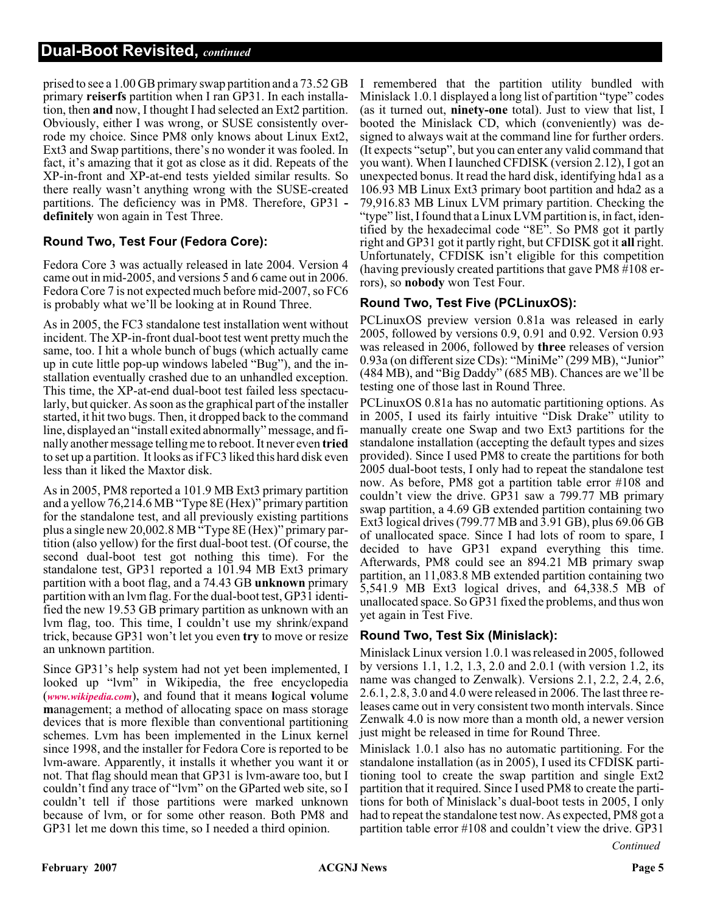### **Dual-Boot Revisited,** *continued*

prised to see a 1.00 GB primary swap partition and a 73.52 GB primary **reiserfs** partition when I ran GP31. In each installation, then **and** now, I thought I had selected an Ext2 partition. Obviously, either I was wrong, or SUSE consistently overrode my choice. Since PM8 only knows about Linux Ext2, Ext3 and Swap partitions, there's no wonder it was fooled. In fact, it's amazing that it got as close as it did. Repeats of the XP-in-front and XP-at-end tests yielded similar results. So there really wasn't anything wrong with the SUSE-created partitions. The deficiency was in PM8. Therefore, GP31  **definitely** won again in Test Three.

#### **Round Two, Test Four (Fedora Core):**

Fedora Core 3 was actually released in late 2004. Version 4 came out in mid-2005, and versions 5 and 6 came out in 2006. Fedora Core 7 is not expected much before mid-2007, so FC6 is probably what we'll be looking at in Round Three.

As in 2005, the FC3 standalone test installation went without incident. The XP-in-front dual-boot test went pretty much the same, too. I hit a whole bunch of bugs (which actually came up in cute little pop-up windows labeled "Bug"), and the installation eventually crashed due to an unhandled exception. This time, the XP-at-end dual-boot test failed less spectacularly, but quicker. As soon as the graphical part of the installer started, it hit two bugs. Then, it dropped back to the command line, displayed an "install exited abnormally" message, and finally another message telling me to reboot. It never even **tried** to set up a partition. It looks as if FC3 liked this hard disk even less than it liked the Maxtor disk.

As in 2005, PM8 reported a 101.9 MB Ext3 primary partition and a yellow 76,214.6 MB "Type 8E (Hex)" primary partition for the standalone test, and all previously existing partitions plus a single new 20,002.8 MB "Type 8E (Hex)" primary partition (also yellow) for the first dual-boot test. (Of course, the second dual-boot test got nothing this time). For the standalone test, GP31 reported a 101.94 MB Ext3 primary partition with a boot flag, and a 74.43 GB **unknown** primary partition with an lvm flag. For the dual-boot test, GP31 identified the new 19.53 GB primary partition as unknown with an lvm flag, too. This time, I couldn't use my shrink/expand trick, because GP31 won't let you even **try** to move or resize an unknown partition.

Since GP31's help system had not yet been implemented, I looked up "lvm" in Wikipedia, the free encyclopedia (*[www.wikipedia.com](http://www.wikipedia.com)*), and found that it means **l**ogical **v**olume **m**anagement; a method of allocating space on mass storage devices that is more flexible than conventional partitioning schemes. Lvm has been implemented in the Linux kernel since 1998, and the installer for Fedora Core is reported to be lvm-aware. Apparently, it installs it whether you want it or not. That flag should mean that GP31 is lvm-aware too, but I couldn't find any trace of "lvm" on the GParted web site, so I couldn't tell if those partitions were marked unknown because of lvm, or for some other reason. Both PM8 and GP31 let me down this time, so I needed a third opinion.

I remembered that the partition utility bundled with Minislack 1.0.1 displayed a long list of partition "type" codes (as it turned out, **ninety-one** total). Just to view that list, I booted the Minislack CD, which (conveniently) was designed to always wait at the command line for further orders. (It expects "setup", but you can enter any valid command that you want). When I launched CFDISK (version 2.12), I got an unexpected bonus. It read the hard disk, identifying hda1 as a 106.93 MB Linux Ext3 primary boot partition and hda2 as a 79,916.83 MB Linux LVM primary partition. Checking the "type" list, I found that a Linux LVM partition is, in fact, identified by the hexadecimal code "8E". So PM8 got it partly right and GP31 got it partly right, but CFDISK got it **all** right. Unfortunately, CFDISK isn't eligible for this competition (having previously created partitions that gave PM8 #108 errors), so **nobody** won Test Four.

#### **Round Two, Test Five (PCLinuxOS):**

PCLinuxOS preview version 0.81a was released in early 2005, followed by versions 0.9, 0.91 and 0.92. Version 0.93 was released in 2006, followed by **three** releases of version 0.93a (on different size CDs): "MiniMe" (299 MB), "Junior" (484 MB), and "Big Daddy" (685 MB). Chances are we'll be testing one of those last in Round Three.

PCLinuxOS 0.81a has no automatic partitioning options. As in 2005, I used its fairly intuitive "Disk Drake" utility to manually create one Swap and two Ext3 partitions for the standalone installation (accepting the default types and sizes provided). Since I used PM8 to create the partitions for both 2005 dual-boot tests, I only had to repeat the standalone test now. As before, PM8 got a partition table error #108 and couldn't view the drive. GP31 saw a 799.77 MB primary swap partition, a 4.69 GB extended partition containing two Ext3 logical drives (799.77 MB and 3.91 GB), plus 69.06 GB of unallocated space. Since I had lots of room to spare, I decided to have GP31 expand everything this time. Afterwards, PM8 could see an 894.21 MB primary swap partition, an 11,083.8 MB extended partition containing two 5,541.9 MB Ext3 logical drives, and 64,338.5 MB of unallocated space. So GP31 fixed the problems, and thus won yet again in Test Five.

#### **Round Two, Test Six (Minislack):**

Minislack Linux version 1.0.1 was released in 2005, followed by versions 1.1, 1.2, 1.3, 2.0 and 2.0.1 (with version 1.2, its name was changed to Zenwalk). Versions 2.1, 2.2, 2.4, 2.6, 2.6.1, 2.8, 3.0 and 4.0 were released in 2006. The last three releases came out in very consistent two month intervals. Since Zenwalk 4.0 is now more than a month old, a newer version just might be released in time for Round Three.

Minislack 1.0.1 also has no automatic partitioning. For the standalone installation (as in 2005), I used its CFDISK partitioning tool to create the swap partition and single Ext2 partition that it required. Since I used PM8 to create the partitions for both of Minislack's dual-boot tests in 2005, I only had to repeat the standalone test now. As expected, PM8 got a partition table error #108 and couldn't view the drive. GP31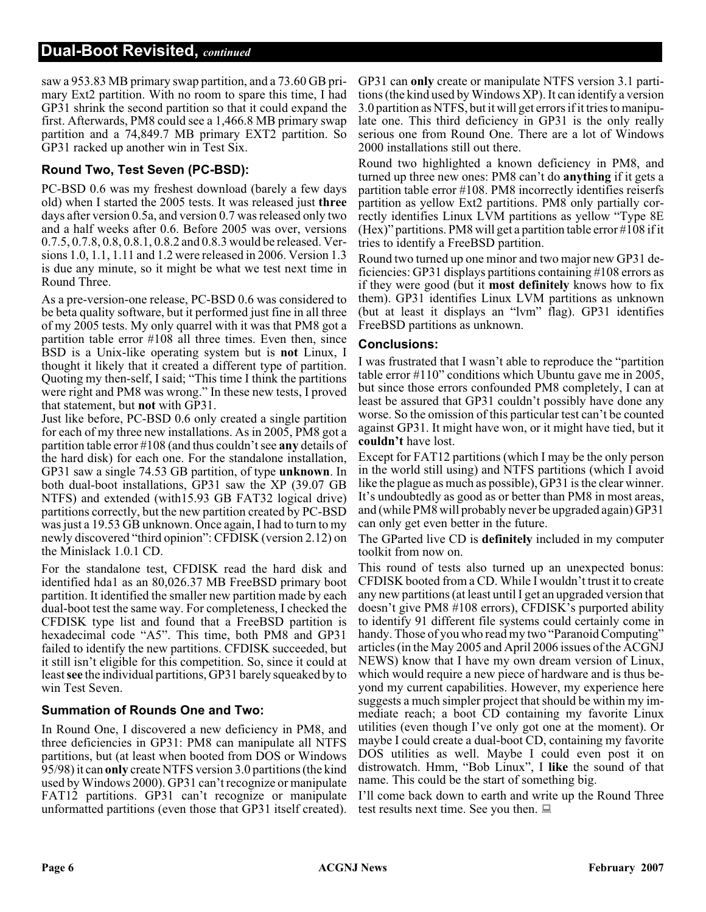### **Dual-Boot Revisited,** *continued*

saw a 953.83 MB primary swap partition, and a 73.60 GB primary Ext2 partition. With no room to spare this time, I had GP31 shrink the second partition so that it could expand the first. Afterwards, PM8 could see a 1,466.8 MB primary swap partition and a 74,849.7 MB primary EXT2 partition. So GP31 racked up another win in Test Six.

#### **Round Two, Test Seven (PC-BSD):**

PC-BSD 0.6 was my freshest download (barely a few days old) when I started the 2005 tests. It was released just **three** days after version 0.5a, and version 0.7 was released only two and a half weeks after 0.6. Before 2005 was over, versions 0.7.5, 0.7.8, 0.8, 0.8.1, 0.8.2 and 0.8.3 would be released. Versions 1.0, 1.1, 1.11 and 1.2 were released in 2006. Version 1.3 is due any minute, so it might be what we test next time in Round Three.

As a pre-version-one release, PC-BSD 0.6 was considered to be beta quality software, but it performed just fine in all three of my 2005 tests. My only quarrel with it was that PM8 got a partition table error #108 all three times. Even then, since BSD is a Unix-like operating system but is **not** Linux, I thought it likely that it created a different type of partition. Quoting my then-self, I said; "This time I think the partitions were right and PM8 was wrong." In these new tests, I proved that statement, but **not** with GP31.

Just like before, PC-BSD 0.6 only created a single partition for each of my three new installations. As in 2005, PM8 got a partition table error #108 (and thus couldn't see **any** details of the hard disk) for each one. For the standalone installation, GP31 saw a single 74.53 GB partition, of type **unknown**. In both dual-boot installations, GP31 saw the XP (39.07 GB NTFS) and extended (with15.93 GB FAT32 logical drive) partitions correctly, but the new partition created by PC-BSD was just a 19.53 GB unknown. Once again, I had to turn to my newly discovered "third opinion": CFDISK (version 2.12) on the Minislack 1.0.1 CD.

For the standalone test, CFDISK read the hard disk and identified hda1 as an 80,026.37 MB FreeBSD primary boot partition. It identified the smaller new partition made by each dual-boot test the same way. For completeness, I checked the CFDISK type list and found that a FreeBSD partition is hexadecimal code "A5". This time, both PM8 and GP31 failed to identify the new partitions. CFDISK succeeded, but it still isn't eligible for this competition. So, since it could at least**see** the individual partitions, GP31 barely squeaked by to win Test Seven.

#### **Summation of Rounds One and Two:**

In Round One, I discovered a new deficiency in PM8, and three deficiencies in GP31: PM8 can manipulate all NTFS partitions, but (at least when booted from DOS or Windows 95/98) it can **only** create NTFS version 3.0 partitions (the kind used by Windows 2000). GP31 can't recognize or manipulate FAT12 partitions. GP31 can't recognize or manipulate unformatted partitions (even those that GP31 itself created).

GP31 can **only** create or manipulate NTFS version 3.1 partitions (the kind used by Windows XP). It can identify a version 3.0 partition as NTFS, but it will get errors if it tries to manipulate one. This third deficiency in GP31 is the only really serious one from Round One. There are a lot of Windows 2000 installations still out there.

Round two highlighted a known deficiency in PM8, and turned up three new ones: PM8 can't do **anything** if it gets a partition table error #108. PM8 incorrectly identifies reiserfs partition as yellow Ext2 partitions. PM8 only partially correctly identifies Linux LVM partitions as yellow "Type 8E (Hex)" partitions. PM8 will get a partition table error #108 if it tries to identify a FreeBSD partition.

Round two turned up one minor and two major new GP31 deficiencies: GP31 displays partitions containing #108 errors as if they were good (but it **most definitely** knows how to fix them). GP31 identifies Linux LVM partitions as unknown (but at least it displays an "lvm" flag). GP31 identifies FreeBSD partitions as unknown.

#### **Conclusions:**

I was frustrated that I wasn't able to reproduce the "partition table error #110" conditions which Ubuntu gave me in 2005, but since those errors confounded PM8 completely, I can at least be assured that GP31 couldn't possibly have done any worse. So the omission of this particular test can't be counted against GP31. It might have won, or it might have tied, but it **couldn't** have lost.

Except for FAT12 partitions (which I may be the only person in the world still using) and NTFS partitions (which I avoid like the plague as much as possible), GP31 is the clear winner. It's undoubtedly as good as or better than PM8 in most areas, and (while PM8 will probably never be upgraded again) GP31 can only get even better in the future.

The GParted live CD is **definitely** included in my computer toolkit from now on.

This round of tests also turned up an unexpected bonus: CFDISK booted from a CD. While I wouldn't trust it to create any new partitions (at least until I get an upgraded version that doesn't give PM8 #108 errors), CFDISK's purported ability to identify 91 different file systems could certainly come in handy. Those of you who read my two "Paranoid Computing" articles (in the May 2005 and April 2006 issues of the ACGNJ NEWS) know that I have my own dream version of Linux, which would require a new piece of hardware and is thus beyond my current capabilities. However, my experience here suggests a much simpler project that should be within my immediate reach; a boot CD containing my favorite Linux utilities (even though I've only got one at the moment). Or maybe I could create a dual-boot CD, containing my favorite DOS utilities as well. Maybe I could even post it on distrowatch. Hmm, "Bob Linux", I **like** the sound of that name. This could be the start of something big.

I'll come back down to earth and write up the Round Three test results next time. See you then.  $\Box$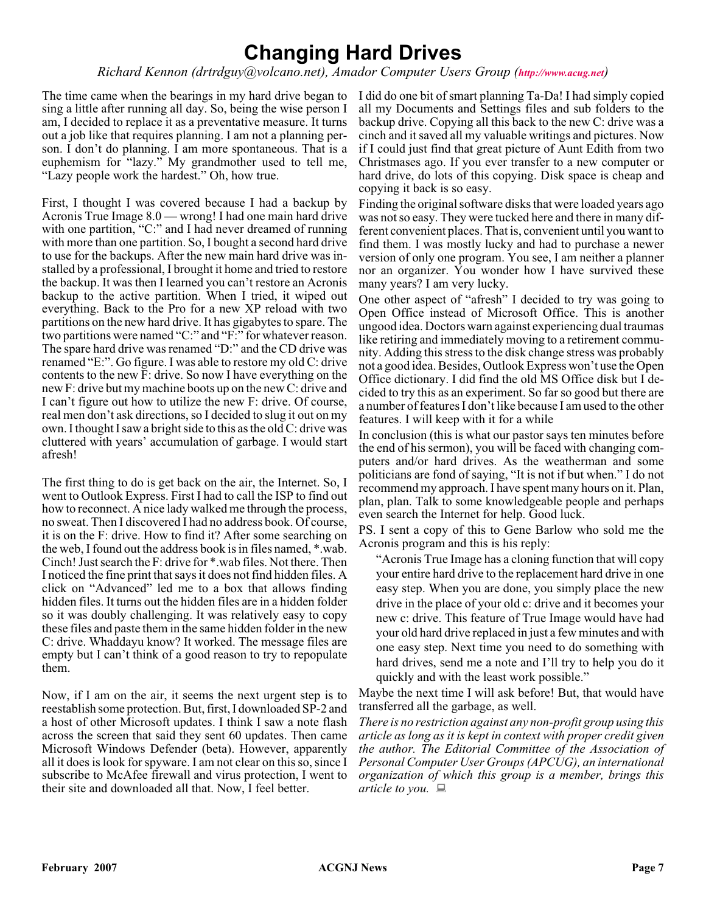## **Changing Hard Drives**

*Richard Kennon (drtrdguy@volcano.net), Amador Computer Users Group (<http://www.acug.net>)*

The time came when the bearings in my hard drive began to I did do one bit of smart planning Ta-Da! I had simply copied sing a little after running all day. So, being the wise person I am, I decided to replace it as a preventative measure. It turns out a job like that requires planning. I am not a planning person. I don't do planning. I am more spontaneous. That is a euphemism for "lazy." My grandmother used to tell me, "Lazy people work the hardest." Oh, how true.

First, I thought I was covered because I had a backup by Acronis True Image 8.0 — wrong! I had one main hard drive with one partition, "C:" and I had never dreamed of running with more than one partition. So, I bought a second hard drive to use for the backups. After the new main hard drive was installed by a professional, I brought it home and tried to restore the backup. It was then I learned you can't restore an Acronis backup to the active partition. When I tried, it wiped out everything. Back to the Pro for a new XP reload with two partitions on the new hard drive. It has gigabytes to spare. The two partitions were named "C:" and "F:" for whatever reason. The spare hard drive was renamed "D:" and the CD drive was renamed "E:". Go figure. I was able to restore my old C: drive contents to the new F: drive. So now I have everything on the new F: drive but my machine boots up on the new C: drive and I can't figure out how to utilize the new F: drive. Of course, real men don't ask directions, so I decided to slug it out on my own. I thought I saw a bright side to this as the old C: drive was cluttered with years' accumulation of garbage. I would start afresh!

The first thing to do is get back on the air, the Internet. So, I went to Outlook Express. First I had to call the ISP to find out how to reconnect. A nice lady walked me through the process, no sweat. Then I discovered I had no address book. Of course, it is on the F: drive. How to find it? After some searching on the web, I found out the address book is in files named, \*.wab. Cinch! Just search the F: drive for \*.wab files. Not there. Then I noticed the fine print that says it does not find hidden files. A click on "Advanced" led me to a box that allows finding hidden files. It turns out the hidden files are in a hidden folder so it was doubly challenging. It was relatively easy to copy these files and paste them in the same hidden folder in the new C: drive. Whaddayu know? It worked. The message files are empty but I can't think of a good reason to try to repopulate them.

Now, if I am on the air, it seems the next urgent step is to reestablish some protection. But, first, I downloaded SP-2 and a host of other Microsoft updates. I think I saw a note flash across the screen that said they sent 60 updates. Then came Microsoft Windows Defender (beta). However, apparently all it does is look for spyware. I am not clear on this so, since I subscribe to McAfee firewall and virus protection, I went to their site and downloaded all that. Now, I feel better.

all my Documents and Settings files and sub folders to the backup drive. Copying all this back to the new C: drive was a cinch and it saved all my valuable writings and pictures. Now if I could just find that great picture of Aunt Edith from two Christmases ago. If you ever transfer to a new computer or hard drive, do lots of this copying. Disk space is cheap and copying it back is so easy.

Finding the original software disks that were loaded years ago was not so easy. They were tucked here and there in many different convenient places. That is, convenient until you want to find them. I was mostly lucky and had to purchase a newer version of only one program. You see, I am neither a planner nor an organizer. You wonder how I have survived these many years? I am very lucky.

One other aspect of "afresh" I decided to try was going to Open Office instead of Microsoft Office. This is another ungood idea. Doctors warn against experiencing dual traumas like retiring and immediately moving to a retirement community. Adding this stress to the disk change stress was probably not a good idea. Besides, Outlook Express won't use the Open Office dictionary. I did find the old MS Office disk but I decided to try this as an experiment. So far so good but there are a number of features I don't like because I am used to the other features. I will keep with it for a while

In conclusion (this is what our pastor says ten minutes before the end of his sermon), you will be faced with changing computers and/or hard drives. As the weatherman and some politicians are fond of saying, "It is not if but when." I do not recommend my approach. I have spent many hours on it. Plan, plan, plan. Talk to some knowledgeable people and perhaps even search the Internet for help. Good luck.

PS. I sent a copy of this to Gene Barlow who sold me the Acronis program and this is his reply:

"Acronis True Image has a cloning function that will copy your entire hard drive to the replacement hard drive in one easy step. When you are done, you simply place the new drive in the place of your old c: drive and it becomes your new c: drive. This feature of True Image would have had your old hard drive replaced in just a few minutes and with one easy step. Next time you need to do something with hard drives, send me a note and I'll try to help you do it quickly and with the least work possible."

Maybe the next time I will ask before! But, that would have transferred all the garbage, as well.

*There is no restriction against any non-profit group using this article as long as it is kept in context with proper credit given the author. The Editorial Committee of the Association of Personal Computer User Groups (APCUG), an international organization of which this group is a member, brings this article to you.*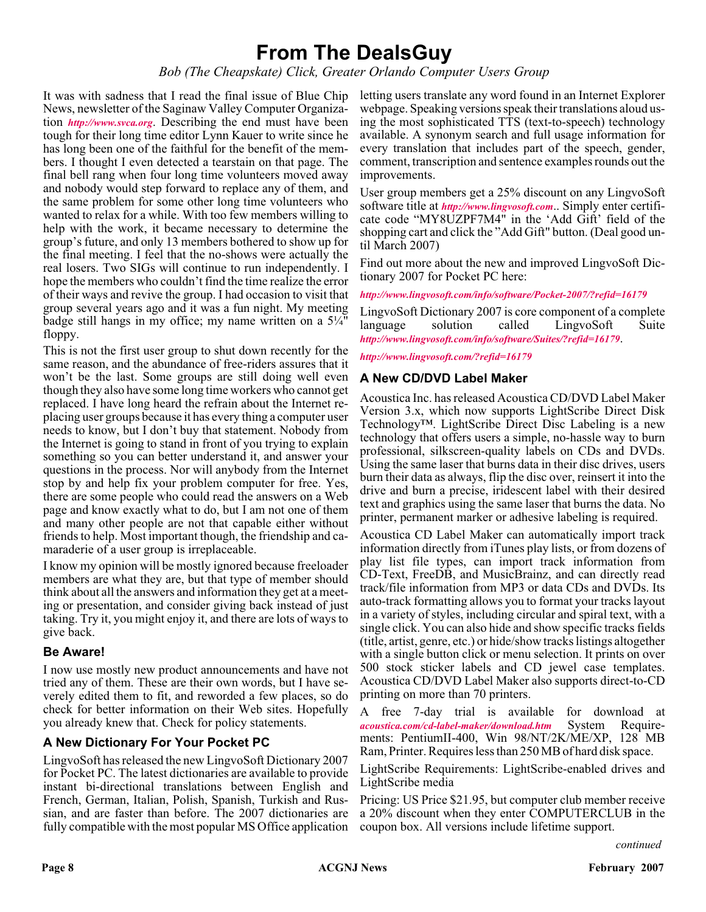## **From The DealsGuy**

*Bob (The Cheapskate) Click, Greater Orlando Computer Users Group*

It was with sadness that I read the final issue of Blue Chip News, newsletter of the Saginaw Valley Computer Organization *<http://www.svca.org>*. Describing the end must have been tough for their long time editor Lynn Kauer to write since he has long been one of the faithful for the benefit of the members. I thought I even detected a tearstain on that page. The final bell rang when four long time volunteers moved away and nobody would step forward to replace any of them, and the same problem for some other long time volunteers who wanted to relax for a while. With too few members willing to help with the work, it became necessary to determine the group's future, and only 13 members bothered to show up for the final meeting. I feel that the no-shows were actually the real losers. Two SIGs will continue to run independently. I hope the members who couldn't find the time realize the error of their ways and revive the group. I had occasion to visit that group several years ago and it was a fun night. My meeting badge still hangs in my office; my name written on a 5¼" floppy.

This is not the first user group to shut down recently for the same reason, and the abundance of free-riders assures that it won't be the last. Some groups are still doing well even though they also have some long time workers who cannot get replaced. I have long heard the refrain about the Internet replacing user groups because it has every thing a computer user needs to know, but I don't buy that statement. Nobody from the Internet is going to stand in front of you trying to explain something so you can better understand it, and answer your questions in the process. Nor will anybody from the Internet stop by and help fix your problem computer for free. Yes, there are some people who could read the answers on a Web page and know exactly what to do, but I am not one of them and many other people are not that capable either without friends to help. Most important though, the friendship and camaraderie of a user group is irreplaceable.

I know my opinion will be mostly ignored because freeloader members are what they are, but that type of member should think about all the answers and information they get at a meeting or presentation, and consider giving back instead of just taking. Try it, you might enjoy it, and there are lots of ways to give back.

#### **Be Aware!**

I now use mostly new product announcements and have not tried any of them. These are their own words, but I have severely edited them to fit, and reworded a few places, so do check for better information on their Web sites. Hopefully you already knew that. Check for policy statements.

#### **A New Dictionary For Your Pocket PC**

LingvoSoft has released the new LingvoSoft Dictionary 2007 for Pocket PC. The latest dictionaries are available to provide instant bi-directional translations between English and French, German, Italian, Polish, Spanish, Turkish and Russian, and are faster than before. The 2007 dictionaries are fully compatible with the most popular MS Office application

letting users translate any word found in an Internet Explorer webpage. Speaking versions speak their translations aloud using the most sophisticated TTS (text-to-speech) technology available. A synonym search and full usage information for every translation that includes part of the speech, gender, comment, transcription and sentence examples rounds out the improvements.

User group members get a 25% discount on any LingvoSoft software title at *<http://www.lingvosoft.com>*.. Simply enter certificate code "MY8UZPF7M4" in the 'Add Gift' field of the shopping cart and click the "Add Gift" button. (Deal good until March 2007)

Find out more about the new and improved LingvoSoft Dictionary 2007 for Pocket PC here:

*<http://www.lingvosoft.com/info/software/Pocket-2007/?refid=16179>*

LingvoSoft Dictionary 2007 is core component of a complete language solution called LingvoSoft Suite *<http://www.lingvosoft.com/info/software/Suites/?refid=16179>*. *<http://www.lingvosoft.com/?refid=16179>*

#### **A New CD/DVD Label Maker**

Acoustica Inc. has released Acoustica CD/DVD Label Maker Version 3.x, which now supports LightScribe Direct Disk Technology™. LightScribe Direct Disc Labeling is a new technology that offers users a simple, no-hassle way to burn professional, silkscreen-quality labels on CDs and DVDs. Using the same laser that burns data in their disc drives, users burn their data as always, flip the disc over, reinsert it into the drive and burn a precise, iridescent label with their desired text and graphics using the same laser that burns the data. No printer, permanent marker or adhesive labeling is required.

Acoustica CD Label Maker can automatically import track information directly from iTunes play lists, or from dozens of play list file types, can import track information from CD-Text, FreeDB, and MusicBrainz, and can directly read track/file information from MP3 or data CDs and DVDs. Its auto-track formatting allows you to format your tracks layout in a variety of styles, including circular and spiral text, with a single click. You can also hide and show specific tracks fields (title, artist, genre, etc.) or hide/show tracks listings altogether with a single button click or menu selection. It prints on over 500 stock sticker labels and CD jewel case templates. Acoustica CD/DVD Label Maker also supports direct-to-CD printing on more than 70 printers.

A free 7-day trial is available for download at *[acoustica.com/cd-label-maker/download.htm](http://www.acoustica.com/cd-label-maker/download.htm)* System Requirements: PentiumII-400, Win 98/NT/2K/ME/XP, 128 MB Ram, Printer. Requires less than 250 MB of hard disk space.

LightScribe Requirements: LightScribe-enabled drives and LightScribe media

Pricing: US Price \$21.95, but computer club member receive a 20% discount when they enter COMPUTERCLUB in the coupon box. All versions include lifetime support.

*continued*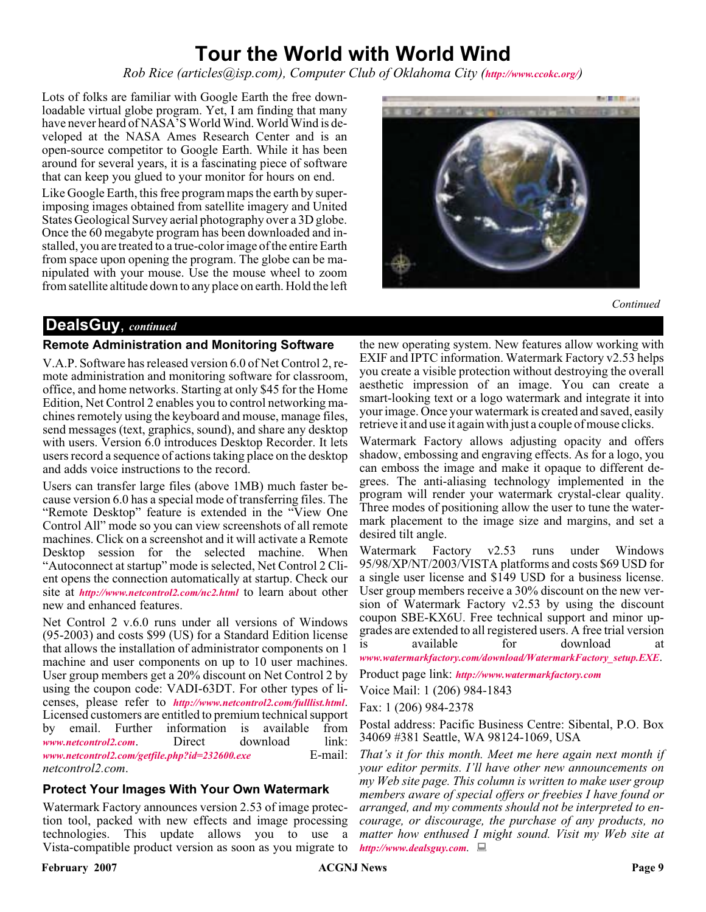## **Tour the World with World Wind**

*Rob Rice (articles@isp.com), Computer Club of Oklahoma City (<http://www.ccokc.org/>)*

Lots of folks are familiar with Google Earth the free downloadable virtual globe program. Yet, I am finding that many have never heard of NASA'S World Wind. World Wind is developed at the NASA Ames Research Center and is an open-source competitor to Google Earth. While it has been around for several years, it is a fascinating piece of software that can keep you glued to your monitor for hours on end.

Like Google Earth, this free program maps the earth by superimposing images obtained from satellite imagery and United States Geological Survey aerial photography over a 3D globe. Once the 60 megabyte program has been downloaded and installed, you are treated to a true-color image of the entire Earth from space upon opening the program. The globe can be manipulated with your mouse. Use the mouse wheel to zoom from satellite altitude down to any place on earth. Hold the left



*Continued*

### **DealsGuy**, *continued*

#### **Remote Administration and Monitoring Software**

V.A.P. Software has released version 6.0 of Net Control 2, remote administration and monitoring software for classroom, office, and home networks. Starting at only \$45 for the Home Edition, Net Control 2 enables you to control networking machines remotely using the keyboard and mouse, manage files, send messages (text, graphics, sound), and share any desktop with users. Version 6.0 introduces Desktop Recorder. It lets users record a sequence of actions taking place on the desktop and adds voice instructions to the record.

Users can transfer large files (above 1MB) much faster because version 6.0 has a special mode of transferring files. The "Remote Desktop" feature is extended in the "View One Control All" mode so you can view screenshots of all remote machines. Click on a screenshot and it will activate a Remote Desktop session for the selected machine. When "Autoconnect at startup" mode is selected, Net Control 2 Client opens the connection automatically at startup. Check our site at *<http://www.netcontrol2.com/nc2.html>* to learn about other new and enhanced features.

Net Control 2 v.6.0 runs under all versions of Windows (95-2003) and costs \$99 (US) for a Standard Edition license that allows the installation of administrator components on 1 machine and user components on up to 10 user machines. User group members get a 20% discount on Net Control 2 by using the coupon code: VADI-63DT. For other types of licenses, please refer to *<http://www.netcontrol2.com/fulllist.html>*. Licensed customers are entitled to premium technical support by email. Further information is available from<br>www.netcontrol2.com. Direct download link: *www.netcontrol2.com*. Direct download link:  $www.net control2.com/getfile.php?id=232600.exe$ *netcontrol2.com*.

#### **Protect Your Images With Your Own Watermark**

Watermark Factory announces version 2.53 of image protection tool, packed with new effects and image processing technologies. This update allows you to use a Vista-compatible product version as soon as you migrate to the new operating system. New features allow working with EXIF and IPTC information. Watermark Factory v2.53 helps you create a visible protection without destroying the overall aesthetic impression of an image. You can create a smart-looking text or a logo watermark and integrate it into your image. Once your watermark is created and saved, easily retrieve it and use it again with just a couple of mouse clicks.

Watermark Factory allows adjusting opacity and offers shadow, embossing and engraving effects. As for a logo, you can emboss the image and make it opaque to different degrees. The anti-aliasing technology implemented in the program will render your watermark crystal-clear quality. Three modes of positioning allow the user to tune the watermark placement to the image size and margins, and set a desired tilt angle.

Watermark Factory v2.53 runs under Windows 95/98/XP/NT/2003/VISTA platforms and costs \$69 USD for a single user license and \$149 USD for a business license. User group members receive a 30% discount on the new version of Watermark Factory v2.53 by using the discount coupon SBE-KX6U. Free technical support and minor upgrades are extended to all registered users. A free trial version is available for download at

*[www.watermarkfactory.com/download/WatermarkFactory\\_setup.EXE](http://www.watermarkfactory.com/download/WatermarkFactory_setup.EXE)*.

Product page link: *<http://www.watermarkfactory.com>*

Voice Mail: 1 (206) 984-1843

Fax: 1 (206) 984-2378

Postal address: Pacific Business Centre: Sibental, P.O. Box 34069 #381 Seattle, WA 98124-1069, USA

*That's it for this month. Meet me here again next month if your editor permits. I'll have other new announcements on my Web site page. This column is written to make user group members aware of special offers or freebies I have found or arranged, and my comments should not be interpreted to encourage, or discourage, the purchase of any products, no matter how enthused I might sound. Visit my Web site at <http://www.dealsguy.com>.*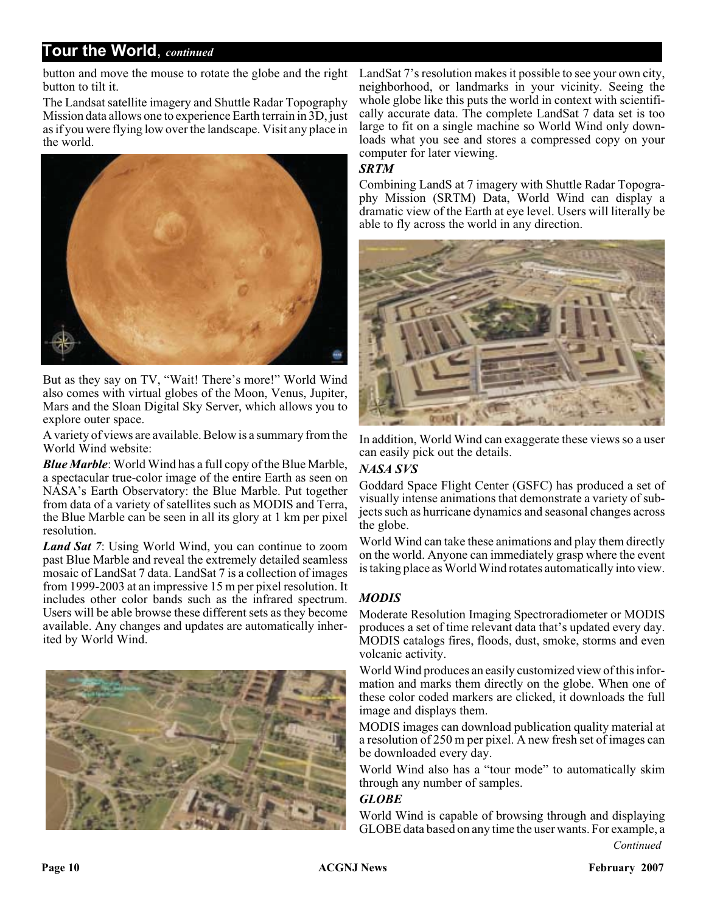## **Tour the World**, *continued*

button and move the mouse to rotate the globe and the right button to tilt it.

The Landsat satellite imagery and Shuttle Radar Topography Mission data allows one to experience Earth terrain in 3D, just as if you were flying low over the landscape. Visit any place in the world.



But as they say on TV, "Wait! There's more!" World Wind also comes with virtual globes of the Moon, Venus, Jupiter, Mars and the Sloan Digital Sky Server, which allows you to explore outer space.

A variety of views are available. Below is a summary from the World Wind website:

*Blue Marble*: World Wind has a full copy of the Blue Marble, a spectacular true-color image of the entire Earth as seen on NASA's Earth Observatory: the Blue Marble. Put together from data of a variety of satellites such as MODIS and Terra, the Blue Marble can be seen in all its glory at 1 km per pixel resolution.

*Land Sat 7*: Using World Wind, you can continue to zoom past Blue Marble and reveal the extremely detailed seamless mosaic of LandSat 7 data. LandSat 7 is a collection of images from 1999-2003 at an impressive 15 m per pixel resolution. It includes other color bands such as the infrared spectrum. Users will be able browse these different sets as they become available. Any changes and updates are automatically inherited by World Wind.



LandSat 7's resolution makes it possible to see your own city, neighborhood, or landmarks in your vicinity. Seeing the whole globe like this puts the world in context with scientifically accurate data. The complete LandSat 7 data set is too large to fit on a single machine so World Wind only downloads what you see and stores a compressed copy on your computer for later viewing.

#### *SRTM*

Combining LandS at 7 imagery with Shuttle Radar Topography Mission (SRTM) Data, World Wind can display a dramatic view of the Earth at eye level. Users will literally be able to fly across the world in any direction.



In addition, World Wind can exaggerate these views so a user can easily pick out the details.

#### *NASA SVS*

Goddard Space Flight Center (GSFC) has produced a set of visually intense animations that demonstrate a variety of subjects such as hurricane dynamics and seasonal changes across the globe.

World Wind can take these animations and play them directly on the world. Anyone can immediately grasp where the event is taking place as World Wind rotates automatically into view.

#### *MODIS*

Moderate Resolution Imaging Spectroradiometer or MODIS produces a set of time relevant data that's updated every day. MODIS catalogs fires, floods, dust, smoke, storms and even volcanic activity.

World Wind produces an easily customized view of this information and marks them directly on the globe. When one of these color coded markers are clicked, it downloads the full image and displays them.

MODIS images can download publication quality material at a resolution of 250 m per pixel. A new fresh set of images can be downloaded every day.

World Wind also has a "tour mode" to automatically skim through any number of samples.

#### *GLOBE*

World Wind is capable of browsing through and displaying GLOBE data based on any time the user wants. For example, a *Continued*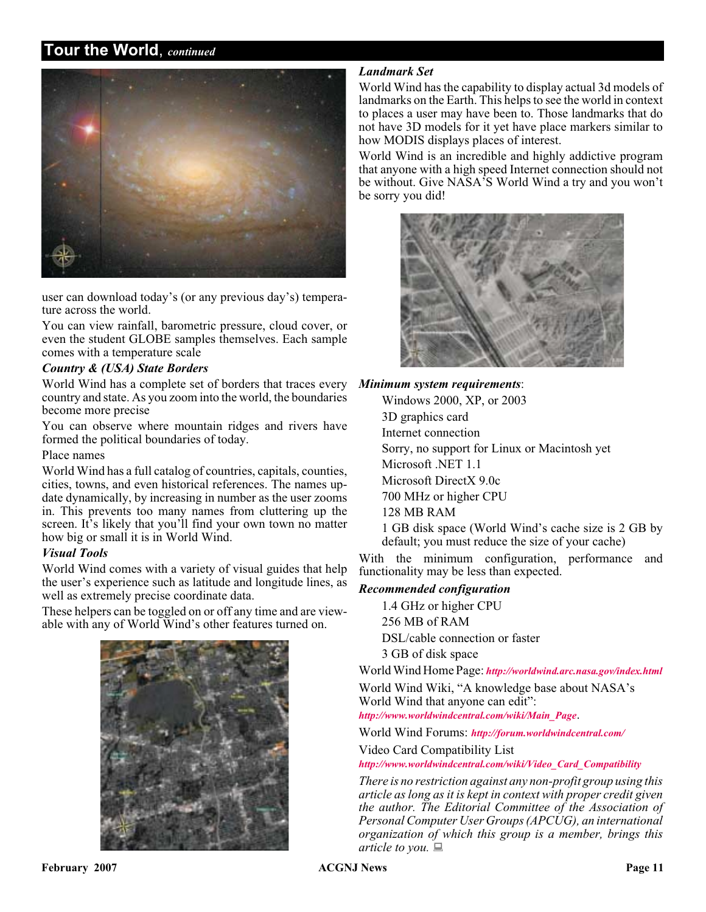## **Tour the World**, *continued*



user can download today's (or any previous day's) temperature across the world.

You can view rainfall, barometric pressure, cloud cover, or even the student GLOBE samples themselves. Each sample comes with a temperature scale

#### *Country & (USA) State Borders*

World Wind has a complete set of borders that traces every *Minimum system requirements*: country and state. As you zoom into the world, the boundaries become more precise

You can observe where mountain ridges and rivers have formed the political boundaries of today.

#### Place names

World Wind has a full catalog of countries, capitals, counties, cities, towns, and even historical references. The names update dynamically, by increasing in number as the user zooms in. This prevents too many names from cluttering up the screen. It's likely that you'll find your own town no matter how big or small it is in World Wind.

#### *Visual Tools*

World Wind comes with a variety of visual guides that help the user's experience such as latitude and longitude lines, as well as extremely precise coordinate data.

These helpers can be toggled on or off any time and are viewable with any of World Wind's other features turned on.



#### *Landmark Set*

World Wind has the capability to display actual 3d models of landmarks on the Earth. This helps to see the world in context to places a user may have been to. Those landmarks that do not have 3D models for it yet have place markers similar to how MODIS displays places of interest.

World Wind is an incredible and highly addictive program that anyone with a high speed Internet connection should not be without. Give NASA'S World Wind a try and you won't be sorry you did!



Windows 2000, XP, or 2003 3D graphics card Internet connection Sorry, no support for Linux or Macintosh yet Microsoft .NET 1.1 Microsoft DirectX 9.0c 700 MHz or higher CPU 128 MB RAM 1 GB disk space (World Wind's cache size is 2 GB by

default; you must reduce the size of your cache) With the minimum configuration, performance and

functionality may be less than expected.

#### *Recommended configuration*

1.4 GHz or higher CPU 256 MB of RAM DSL/cable connection or faster 3 GB of disk space

World Wind Home Page: *<http://worldwind.arc.nasa.gov/index.html>*

World Wind Wiki, "A knowledge base about NASA's World Wind that anyone can edit":

*[http://www.worldwindcentral.com/wiki/Main\\_Page](http://www.worldwindcentral.com/wiki/Main_Page)*.

World Wind Forums: *<http://forum.worldwindcentral.com/>*

Video Card Compatibility List

*[http://www.worldwindcentral.com/wiki/Video\\_Card\\_Compatibility](http://www.worldwindcentral.com/wiki/Video_Card_Compatibility)*

*There is no restriction against any non-profit group using this article as long as it is kept in context with proper credit given the author. The Editorial Committee of the Association of Personal Computer User Groups (APCUG), an international organization of which this group is a member, brings this article to you.*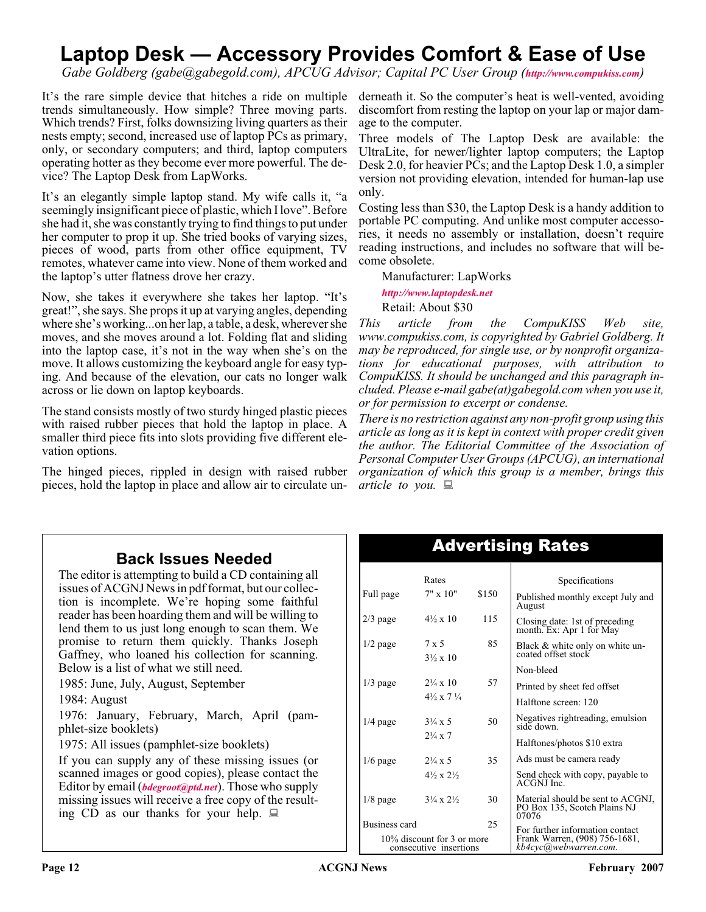## **Laptop Desk — Accessory Provides Comfort & Ease of Use**

*Gabe Goldberg (gabe@gabegold.com), APCUG Advisor; Capital PC User Group (<http://www.compukiss.com>)*

It's the rare simple device that hitches a ride on multiple derneath it. So the computer's heat is well-vented, avoiding trends simultaneously. How simple? Three moving parts. Which trends? First, folks downsizing living quarters as their nests empty; second, increased use of laptop PCs as primary, only, or secondary computers; and third, laptop computers operating hotter as they become ever more powerful. The device? The Laptop Desk from LapWorks.

It's an elegantly simple laptop stand. My wife calls it, "a seemingly insignificant piece of plastic, which I love". Before she had it, she was constantly trying to find things to put under her computer to prop it up. She tried books of varying sizes, pieces of wood, parts from other office equipment, TV remotes, whatever came into view. None of them worked and the laptop's utter flatness drove her crazy.

Now, she takes it everywhere she takes her laptop. "It's great!", she says. She props it up at varying angles, depending where she's working...on her lap, a table, a desk, wherever she moves, and she moves around a lot. Folding flat and sliding into the laptop case, it's not in the way when she's on the move. It allows customizing the keyboard angle for easy typing. And because of the elevation, our cats no longer walk across or lie down on laptop keyboards.

The stand consists mostly of two sturdy hinged plastic pieces with raised rubber pieces that hold the laptop in place. A smaller third piece fits into slots providing five different elevation options.

The hinged pieces, rippled in design with raised rubber pieces, hold the laptop in place and allow air to circulate un-

discomfort from resting the laptop on your lap or major damage to the computer.

Three models of The Laptop Desk are available: the UltraLite, for newer/lighter laptop computers; the Laptop Desk 2.0, for heavier PCs; and the Laptop Desk 1.0, a simpler version not providing elevation, intended for human-lap use only.

Costing less than \$30, the Laptop Desk is a handy addition to portable PC computing. And unlike most computer accessories, it needs no assembly or installation, doesn't require reading instructions, and includes no software that will become obsolete.

Manufacturer: LapWorks

*<http://www.laptopdesk.net>*

Retail: About \$30

*This article from the CompuKISS Web site, www.compukiss.com, is copyrighted by Gabriel Goldberg. It may be reproduced, for single use, or by nonprofit organizations for educational purposes, with attribution to CompuKISS. It should be unchanged and this paragraph included. Please e-mail gabe(at)gabegold.com when you use it, or for permission to excerpt or condense.*

*There is no restriction against any non-profit group using this article as long as it is kept in context with proper credit given the author. The Editorial Committee of the Association of Personal Computer User Groups (APCUG), an international organization of which this group is a member, brings this article to you.*

## **Back Issues Needed**

The editor is attempting to build a CD containing all issues of ACGNJ News in pdf format, but our collection is incomplete. We're hoping some faithful reader has been hoarding them and will be willing to lend them to us just long enough to scan them. We promise to return them quickly. Thanks Joseph Gaffney, who loaned his collection for scanning. Below is a list of what we still need.

1985: June, July, August, September

1984: August

1976: January, February, March, April (pamphlet-size booklets)

1975: All issues (pamphlet-size booklets)

If you can supply any of these missing issues (or scanned images or good copies), please contact the Editor by email (*[bdegroot@ptd.net](mailto:bdegroot@ptd.net)*). Those who supply missing issues will receive a free copy of the resulting CD as our thanks for your help.  $\Box$ 

## Advertising Rates

|                                                      | Rates                                    |       | Specifications                                                             |
|------------------------------------------------------|------------------------------------------|-------|----------------------------------------------------------------------------|
| Full page                                            | $7" \times 10"$                          | \$150 | Published monthly except July and<br>August                                |
| $2/3$ page                                           | $4\frac{1}{2} \times 10$                 | 115   | Closing date: 1st of preceding<br>month. Ex: Apr 1 for May                 |
| $1/2$ page                                           | $7 \times 5$<br>$3\frac{1}{2} \times 10$ | 85    | Black & white only on white un-<br>coated offset stock                     |
|                                                      |                                          |       | Non-bleed                                                                  |
| $1/3$ page                                           | $2\frac{1}{4} \times 10$                 | 57    | Printed by sheet fed offset                                                |
|                                                      | $4\frac{1}{2} \times 7\frac{1}{4}$       |       | Halftone screen: 120                                                       |
| $1/4$ page                                           | $3\frac{1}{4} \times 5$                  | 50    | Negatives rightreading, emulsion<br>side down.                             |
|                                                      | $2\frac{1}{4} \times 7$                  |       | Halftones/photos \$10 extra                                                |
| $1/6$ page                                           | $2\frac{1}{4} \times 5$                  | 35    | Ads must be camera ready                                                   |
|                                                      | $4\frac{1}{2} \times 2\frac{1}{2}$       |       | Send check with copy, payable to<br>ACGNJ Inc.                             |
| $1/8$ page                                           | $3\frac{1}{4} \times 2\frac{1}{2}$       | 30    | Material should be sent to ACGNJ,<br>PO Box 135, Scotch Plains NJ<br>07076 |
| Business card                                        |                                          | 25    | For further information contact                                            |
| 10% discount for 3 or more<br>consecutive insertions |                                          |       | Frank Warren, (908) 756-1681,<br>kb4cvc@webwarren.com.                     |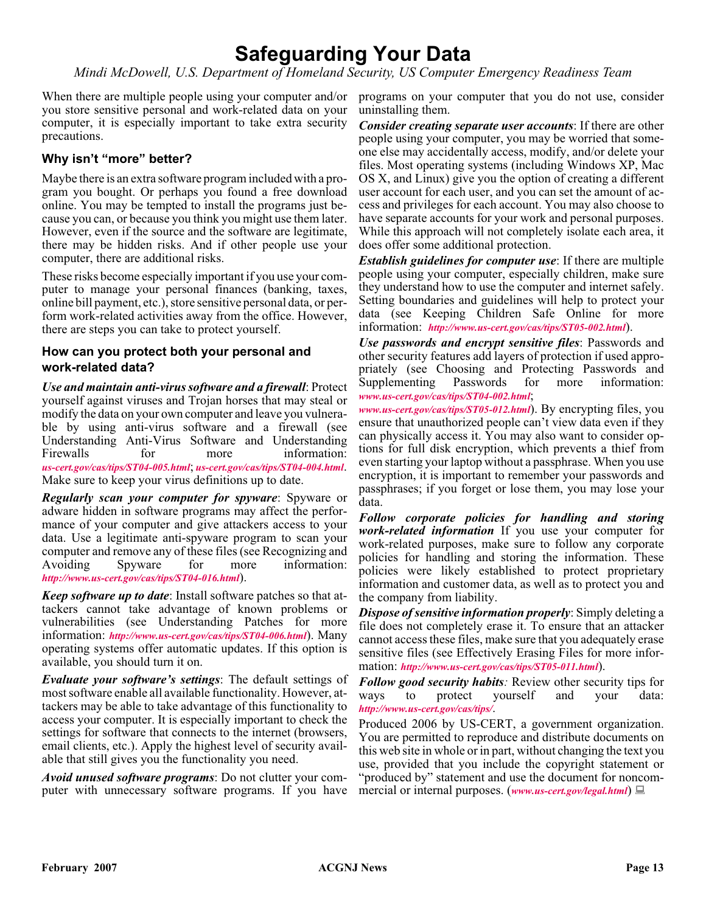## **Safeguarding Your Data**

*Mindi McDowell, U.S. Department of Homeland Security, US Computer Emergency Readiness Team*

When there are multiple people using your computer and/or programs on your computer that you do not use, consider you store sensitive personal and work-related data on your computer, it is especially important to take extra security precautions.

#### **Why isn't "more" better?**

Maybe there is an extra software program included with a program you bought. Or perhaps you found a free download online. You may be tempted to install the programs just because you can, or because you think you might use them later. However, even if the source and the software are legitimate, there may be hidden risks. And if other people use your computer, there are additional risks.

These risks become especially important if you use your computer to manage your personal finances (banking, taxes, online bill payment, etc.), store sensitive personal data, or perform work-related activities away from the office. However, there are steps you can take to protect yourself.

#### **How can you protect both your personal and work-related data?**

*Use and maintain anti-virus software and a firewall*: Protect yourself against viruses and Trojan horses that may steal or modify the data on your own computer and leave you vulnerable by using anti-virus software and a firewall (see Understanding Anti-Virus Software and Understanding Firewalls for more information: *[us-cert.gov/cas/tips/ST04-005.html](http://www.us-cert.gov/cas/tips/ST04-005.html)*; *[us-cert.gov/cas/tips/ST04-004.html](http://www.us-cert.gov/cas/tips/ST04-004.html)*. Make sure to keep your virus definitions up to date.

*Regularly scan your computer for spyware*: Spyware or adware hidden in software programs may affect the performance of your computer and give attackers access to your data. Use a legitimate anti-spyware program to scan your computer and remove any of these files (see Recognizing and Avoiding Spyware for more information: *<http://www.us-cert.gov/cas/tips/ST04-016.html>*).

*Keep software up to date*: Install software patches so that attackers cannot take advantage of known problems or vulnerabilities (see Understanding Patches for more information: *<http://www.us-cert.gov/cas/tips/ST04-006.html>*). Many operating systems offer automatic updates. If this option is available, you should turn it on.

*Evaluate your software's settings*: The default settings of most software enable all available functionality. However, attackers may be able to take advantage of this functionality to access your computer. It is especially important to check the settings for software that connects to the internet (browsers, email clients, etc.). Apply the highest level of security available that still gives you the functionality you need.

*Avoid unused software programs*: Do not clutter your computer with unnecessary software programs. If you have

uninstalling them.

*Consider creating separate user accounts*: If there are other people using your computer, you may be worried that someone else may accidentally access, modify, and/or delete your files. Most operating systems (including Windows XP, Mac OS X, and Linux) give you the option of creating a different user account for each user, and you can set the amount of access and privileges for each account. You may also choose to have separate accounts for your work and personal purposes. While this approach will not completely isolate each area, it does offer some additional protection.

*Establish guidelines for computer use*: If there are multiple people using your computer, especially children, make sure they understand how to use the computer and internet safely. Setting boundaries and guidelines will help to protect your data (see Keeping Children Safe Online for more information: *[http://www.us-cert.gov/cas/tips/ST05-002.html](http://)*).

*Use passwords and encrypt sensitive files*: Passwords and other security features add layers of protection if used appropriately (see Choosing and Protecting Passwords and Supplementing Passwords for more information: *[www.us-cert.gov/cas/tips/ST04-002.html](http://www.us-cert.gov/cas/tips/ST04-002.html)*;

*[www.us-cert.gov/cas/tips/ST05-012.html](http://www.us-cert.gov/cas/tips/ST05-012.html)*). By encrypting files, you ensure that unauthorized people can't view data even if they can physically access it. You may also want to consider options for full disk encryption, which prevents a thief from even starting your laptop without a passphrase. When you use encryption, it is important to remember your passwords and passphrases; if you forget or lose them, you may lose your data.

*Follow corporate policies for handling and storing work-related information* If you use your computer for work-related purposes, make sure to follow any corporate policies for handling and storing the information. These policies were likely established to protect proprietary information and customer data, as well as to protect you and the company from liability.

*Dispose of sensitive information properly*: Simply deleting a file does not completely erase it. To ensure that an attacker cannot access these files, make sure that you adequately erase sensitive files (see Effectively Erasing Files for more information: *<http://www.us-cert.gov/cas/tips/ST05-011.html>*).

*Follow good security habits:* Review other security tips for ways to protect yourself and your data: *<http://www.us-cert.gov/cas/tips/>*.

Produced 2006 by US-CERT, a government organization. You are permitted to reproduce and distribute documents on this web site in whole or in part, without changing the text you use, provided that you include the copyright statement or "produced by" statement and use the document for noncommercial or internal purposes. (*[www.us-cert.gov/legal.html](http://www.us-cert.gov/legal.html)*)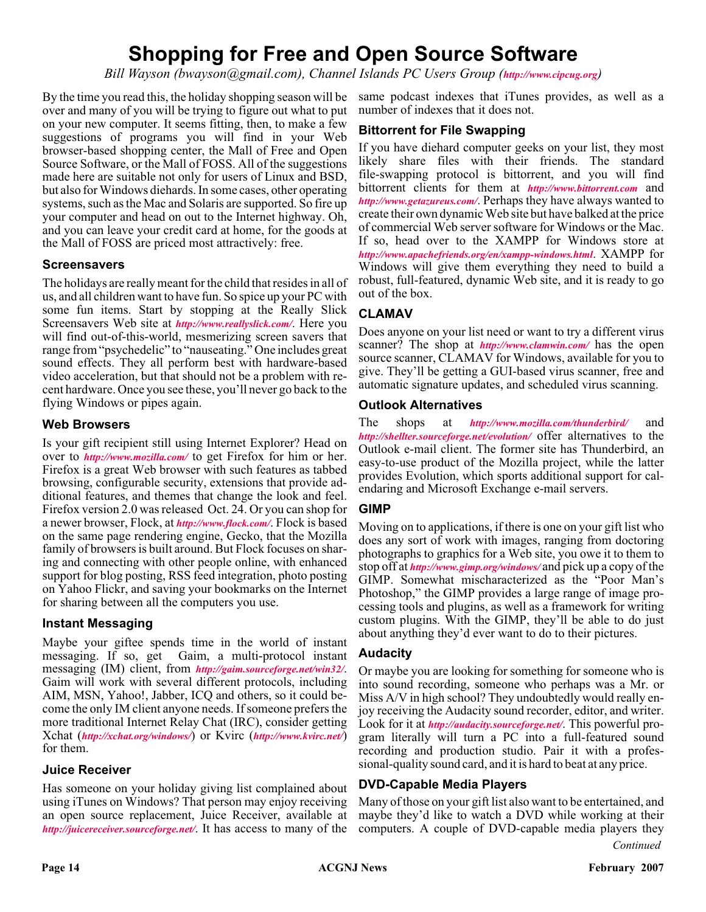## **Shopping for Free and Open Source Software**

*Bill Wayson (bwayson@gmail.com), Channel Islands PC Users Group (<http://www.cipcug.org>)*

By the time you read this, the holiday shopping season will be over and many of you will be trying to figure out what to put on your new computer. It seems fitting, then, to make a few suggestions of programs you will find in your Web browser-based shopping center, the Mall of Free and Open Source Software, or the Mall of FOSS. All of the suggestions made here are suitable not only for users of Linux and BSD, but also for Windows diehards. In some cases, other operating systems, such as the Mac and Solaris are supported. So fire up your computer and head on out to the Internet highway. Oh, and you can leave your credit card at home, for the goods at the Mall of FOSS are priced most attractively: free.

#### **Screensavers**

The holidays are really meant for the child that resides in all of us, and all children want to have fun. So spice up your PC with some fun items. Start by stopping at the Really Slick Screensavers Web site at *<http://www.reallyslick.com/>*. Here you will find out-of-this-world, mesmerizing screen savers that range from "psychedelic" to "nauseating." One includes great sound effects. They all perform best with hardware-based video acceleration, but that should not be a problem with recent hardware. Once you see these, you'll never go back to the flying Windows or pipes again.

#### **Web Browsers**

Is your gift recipient still using Internet Explorer? Head on over to *<http://www.mozilla.com/>* to get Firefox for him or her. Firefox is a great Web browser with such features as tabbed browsing, configurable security, extensions that provide additional features, and themes that change the look and feel. Firefox version 2.0 was released Oct. 24. Or you can shop for a newer browser, Flock, at *<http://www.flock.com/>*. Flock is based on the same page rendering engine, Gecko, that the Mozilla family of browsers is built around. But Flock focuses on sharing and connecting with other people online, with enhanced support for blog posting, RSS feed integration, photo posting on Yahoo Flickr, and saving your bookmarks on the Internet for sharing between all the computers you use.

#### **Instant Messaging**

Maybe your giftee spends time in the world of instant messaging. If so, get Gaim, a multi-protocol instant messaging (IM) client, from *<http://gaim.sourceforge.net/win32/>*. Gaim will work with several different protocols, including AIM, MSN, Yahoo!, Jabber, ICQ and others, so it could become the only IM client anyone needs. If someone prefers the more traditional Internet Relay Chat (IRC), consider getting Xchat (*<http://xchat.org/windows/>*) or Kvirc (*<http://www.kvirc.net/>*) for them.

#### **Juice Receiver**

Has someone on your holiday giving list complained about using iTunes on Windows? That person may enjoy receiving an open source replacement, Juice Receiver, available at *<http://juicereceiver.sourceforge.net/>*. It has access to many of the

same podcast indexes that iTunes provides, as well as a number of indexes that it does not.

#### **Bittorrent for File Swapping**

If you have diehard computer geeks on your list, they most likely share files with their friends. The standard file-swapping protocol is bittorrent, and you will find bittorrent clients for them at *<http://www.bittorrent.com>* and *<http://www.getazureus.com/>*. Perhaps they have always wanted to create their own dynamic Web site but have balked at the price of commercial Web server software for Windows or the Mac. If so, head over to the XAMPP for Windows store at *<http://www.apachefriends.org/en/xampp-windows.html>*. XAMPP for Windows will give them everything they need to build a robust, full-featured, dynamic Web site, and it is ready to go out of the box.

#### **CLAMAV**

Does anyone on your list need or want to try a different virus scanner? The shop at *<http://www.clamwin.com/>* has the open source scanner, CLAMAV for Windows, available for you to give. They'll be getting a GUI-based virus scanner, free and automatic signature updates, and scheduled virus scanning.

#### **Outlook Alternatives**

The shops at *<http://www.mozilla.com/thunderbird/>* and *<http://shellter.sourceforge.net/evolution/>* offer alternatives to the Outlook e-mail client. The former site has Thunderbird, an easy-to-use product of the Mozilla project, while the latter provides Evolution, which sports additional support for calendaring and Microsoft Exchange e-mail servers.

#### **GIMP**

Moving on to applications, if there is one on your gift list who does any sort of work with images, ranging from doctoring photographs to graphics for a Web site, you owe it to them to stop off at *<http://www.gimp.org/windows/>* and pick up a copy of the GIMP. Somewhat mischaracterized as the "Poor Man's Photoshop," the GIMP provides a large range of image processing tools and plugins, as well as a framework for writing custom plugins. With the GIMP, they'll be able to do just about anything they'd ever want to do to their pictures.

#### **Audacity**

Or maybe you are looking for something for someone who is into sound recording, someone who perhaps was a Mr. or Miss A/V in high school? They undoubtedly would really enjoy receiving the Audacity sound recorder, editor, and writer. Look for it at *<http://audacity.sourceforge.net/>*. This powerful program literally will turn a PC into a full-featured sound recording and production studio. Pair it with a professional-quality sound card, and it is hard to beat at any price.

#### **DVD-Capable Media Players**

*Continued* Many of those on your gift list also want to be entertained, and maybe they'd like to watch a DVD while working at their computers. A couple of DVD-capable media players they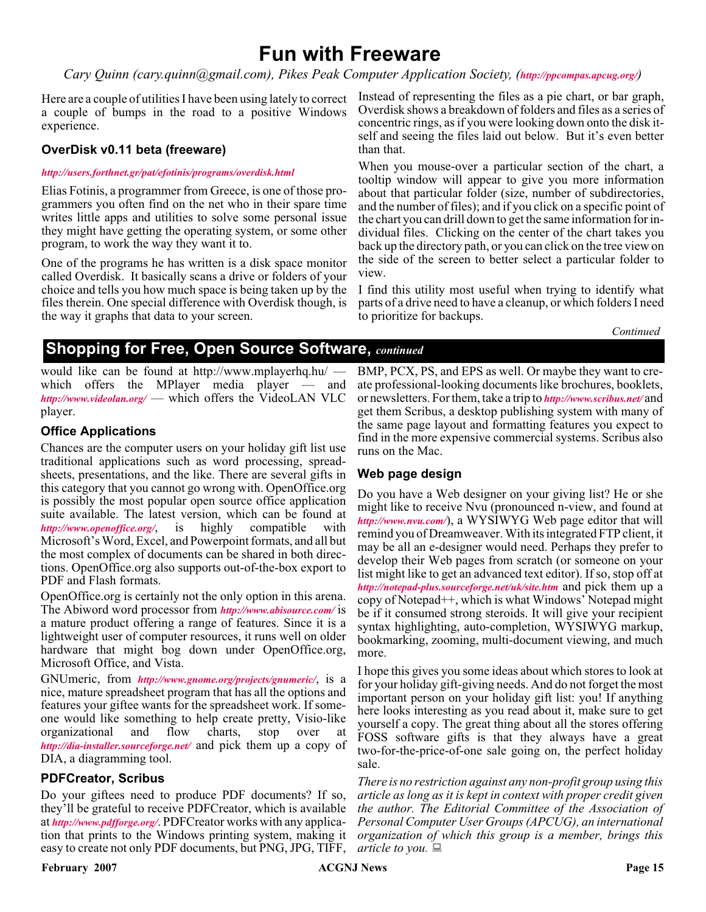## **Fun with Freeware**

*Cary Quinn (cary.quinn@gmail.com), Pikes Peak Computer Application Society, (<http://ppcompas.apcug.org/>)*

Here are a couple of utilities I have been using lately to correct a couple of bumps in the road to a positive Windows experience.

#### **OverDisk v0.11 beta (freeware)**

#### *<http://users.forthnet.gr/pat/efotinis/programs/overdisk.html>*

Elias Fotinis, a programmer from Greece, is one of those programmers you often find on the net who in their spare time writes little apps and utilities to solve some personal issue they might have getting the operating system, or some other program, to work the way they want it to.

One of the programs he has written is a disk space monitor called Overdisk. It basically scans a drive or folders of your choice and tells you how much space is being taken up by the files therein. One special difference with Overdisk though, is the way it graphs that data to your screen.

Instead of representing the files as a pie chart, or bar graph, Overdisk shows a breakdown of folders and files as a series of concentric rings, as if you were looking down onto the disk itself and seeing the files laid out below. But it's even better than that.

When you mouse-over a particular section of the chart, a tooltip window will appear to give you more information about that particular folder (size, number of subdirectories, and the number of files); and if you click on a specific point of the chart you can drill down to get the same information for individual files. Clicking on the center of the chart takes you back up the directory path, or you can click on the tree view on the side of the screen to better select a particular folder to view.

I find this utility most useful when trying to identify what parts of a drive need to have a cleanup, or which folders I need to prioritize for backups.

*Continued*

## **Shopping for Free, Open Source Software,** *continued*

would like can be found at http://www.mplayerhq.hu/ which offers the MPlayer media player — and *<http://www.videolan.org/>* — which offers the VideoLAN VLC player.

#### **Office Applications**

Chances are the computer users on your holiday gift list use traditional applications such as word processing, spreadsheets, presentations, and the like. There are several gifts in this category that you cannot go wrong with. OpenOffice.org is possibly the most popular open source office application suite available. The latest version, which can be found at *<http://www.openoffice.org/>*, is highly compatible with Microsoft's Word, Excel, and Powerpoint formats, and all but the most complex of documents can be shared in both directions. OpenOffice.org also supports out-of-the-box export to PDF and Flash formats.

OpenOffice.org is certainly not the only option in this arena. The Abiword word processor from *<http://www.abisource.com/>* is a mature product offering a range of features. Since it is a lightweight user of computer resources, it runs well on older hardware that might bog down under OpenOffice.org, Microsoft Office, and Vista.

GNUmeric, from *<http://www.gnome.org/projects/gnumeric/>*, is a nice, mature spreadsheet program that has all the options and features your giftee wants for the spreadsheet work. If someone would like something to help create pretty, Visio-like organizational and flow charts, stop over *<http://dia-installer.sourceforge.net/>* and pick them up a copy of DIA, a diagramming tool.

#### **PDFCreator, Scribus**

Do your giftees need to produce PDF documents? If so, they'll be grateful to receive PDFCreator, which is available at *<http://www.pdfforge.org/>*. PDFCreator works with any application that prints to the Windows printing system, making it easy to create not only PDF documents, but PNG, JPG, TIFF,

BMP, PCX, PS, and EPS as well. Or maybe they want to create professional-looking documents like brochures, booklets, or newsletters. For them, take a trip to *<http://www.scribus.net/>* and get them Scribus, a desktop publishing system with many of the same page layout and formatting features you expect to find in the more expensive commercial systems. Scribus also runs on the Mac.

#### **Web page design**

Do you have a Web designer on your giving list? He or she might like to receive Nvu (pronounced n-view, and found at *<http://www.nvu.com/>*), a WYSIWYG Web page editor that will remind you of Dreamweaver. With its integrated FTP client, it may be all an e-designer would need. Perhaps they prefer to develop their Web pages from scratch (or someone on your list might like to get an advanced text editor). If so, stop off at *<http://notepad-plus.sourceforge.net/uk/site.htm>* and pick them up a copy of Notepad++, which is what Windows' Notepad might be if it consumed strong steroids. It will give your recipient syntax highlighting, auto-completion, WYSIWYG markup, bookmarking, zooming, multi-document viewing, and much more.

I hope this gives you some ideas about which stores to look at for your holiday gift-giving needs. And do not forget the most important person on your holiday gift list: you! If anything here looks interesting as you read about it, make sure to get yourself a copy. The great thing about all the stores offering FOSS software gifts is that they always have a great two-for-the-price-of-one sale going on, the perfect holiday sale.

*There is no restriction against any non-profit group using this article as long as it is kept in context with proper credit given the author. The Editorial Committee of the Association of Personal Computer User Groups (APCUG), an international organization of which this group is a member, brings this article to you.*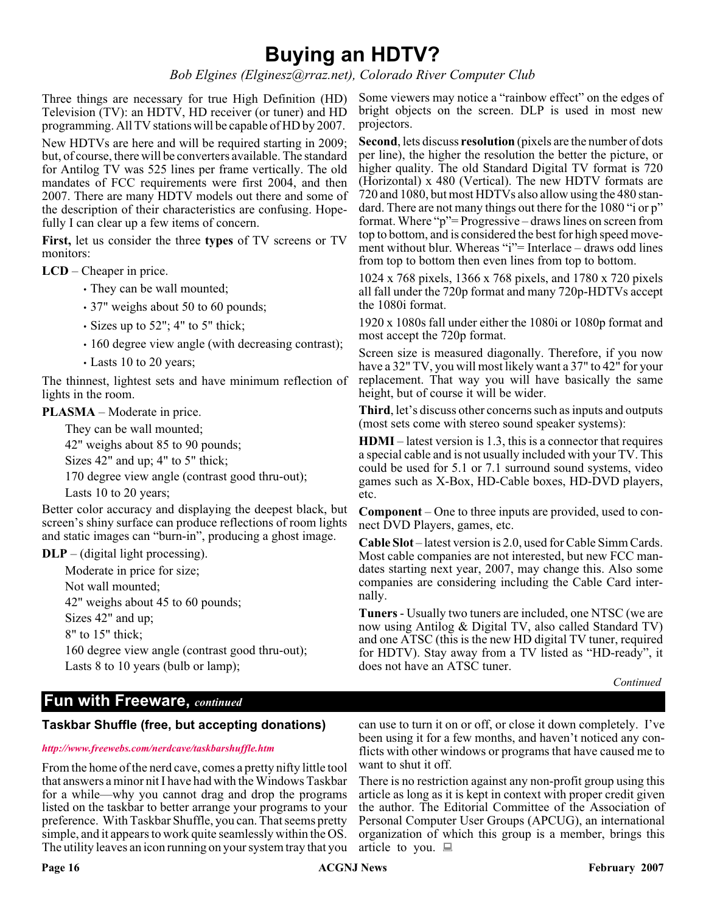## **Buying an HDTV?**

*Bob Elgines (Elginesz@rraz.net), Colorado River Computer Club*

Three things are necessary for true High Definition (HD) Television (TV): an HDTV, HD receiver (or tuner) and HD programming. All TV stations will be capable of HD by 2007.

New HDTVs are here and will be required starting in 2009; but, of course, there will be converters available. The standard for Antilog TV was 525 lines per frame vertically. The old mandates of FCC requirements were first 2004, and then 2007. There are many HDTV models out there and some of the description of their characteristics are confusing. Hopefully I can clear up a few items of concern.

**First,** let us consider the three **types** of TV screens or TV monitors:

**LCD** – Cheaper in price.

- They can be wall mounted;
- 37" weighs about 50 to 60 pounds;
- Sizes up to 52"; 4" to 5" thick;
- 160 degree view angle (with decreasing contrast);
- Lasts 10 to 20 years;

The thinnest, lightest sets and have minimum reflection of lights in the room.

#### **PLASMA** – Moderate in price.

They can be wall mounted;

42" weighs about 85 to 90 pounds;

Sizes 42" and up; 4" to 5" thick;

170 degree view angle (contrast good thru-out);

Lasts 10 to 20 years;

Better color accuracy and displaying the deepest black, but screen's shiny surface can produce reflections of room lights and static images can "burn-in", producing a ghost image.

**DLP** – (digital light processing).

Moderate in price for size;

Not wall mounted;

42" weighs about 45 to 60 pounds;

Sizes 42" and up;

8" to 15" thick;

160 degree view angle (contrast good thru-out); Lasts 8 to 10 years (bulb or lamp);

#### **Fun with Freeware,** *continued*

#### **Taskbar Shuffle (free, but accepting donations)**

#### *<http://www.freewebs.com/nerdcave/taskbarshuffle.htm>*

From the home of the nerd cave, comes a pretty nifty little tool that answers a minor nit I have had with the Windows Taskbar for a while—why you cannot drag and drop the programs listed on the taskbar to better arrange your programs to your preference. With Taskbar Shuffle, you can. That seems pretty simple, and it appears to work quite seamlessly within the OS. The utility leaves an icon running on your system tray that you

Some viewers may notice a "rainbow effect" on the edges of bright objects on the screen. DLP is used in most new projectors.

**Second**, lets discuss **resolution** (pixels are the number of dots per line), the higher the resolution the better the picture, or higher quality. The old Standard Digital TV format is 720 (Horizontal) x 480 (Vertical). The new HDTV formats are 720 and 1080, but most HDTVs also allow using the 480 standard. There are not many things out there for the 1080 "i or p" format. Where "p"= Progressive – draws lines on screen from top to bottom, and is considered the best for high speed movement without blur. Whereas "i"= Interlace – draws odd lines from top to bottom then even lines from top to bottom.

1024 x 768 pixels, 1366 x 768 pixels, and 1780 x 720 pixels all fall under the 720p format and many 720p-HDTVs accept the 1080i format.

1920 x 1080s fall under either the 1080i or 1080p format and most accept the 720p format.

Screen size is measured diagonally. Therefore, if you now have a 32" TV, you will most likely want a 37" to 42" for your replacement. That way you will have basically the same height, but of course it will be wider.

**Third**, let's discuss other concerns such as inputs and outputs (most sets come with stereo sound speaker systems):

**HDMI** – latest version is 1.3, this is a connector that requires a special cable and is not usually included with your TV. This could be used for 5.1 or 7.1 surround sound systems, video games such as X-Box, HD-Cable boxes, HD-DVD players, etc.

**Component** – One to three inputs are provided, used to connect DVD Players, games, etc.

**Cable Slot** – latest version is 2.0, used for Cable Simm Cards. Most cable companies are not interested, but new FCC mandates starting next year, 2007, may change this. Also some companies are considering including the Cable Card internally.

**Tuners**- Usually two tuners are included, one NTSC (we are now using Antilog & Digital TV, also called Standard TV) and one ATSC (this is the new HD digital TV tuner, required for HDTV). Stay away from a TV listed as "HD-ready", it does not have an ATSC tuner.

can use to turn it on or off, or close it down completely. I've been using it for a few months, and haven't noticed any conflicts with other windows or programs that have caused me to

There is no restriction against any non-profit group using this article as long as it is kept in context with proper credit given the author. The Editorial Committee of the Association of Personal Computer User Groups (APCUG), an international organization of which this group is a member, brings this

*Continued*

want to shut it off.

article to you.  $\Box$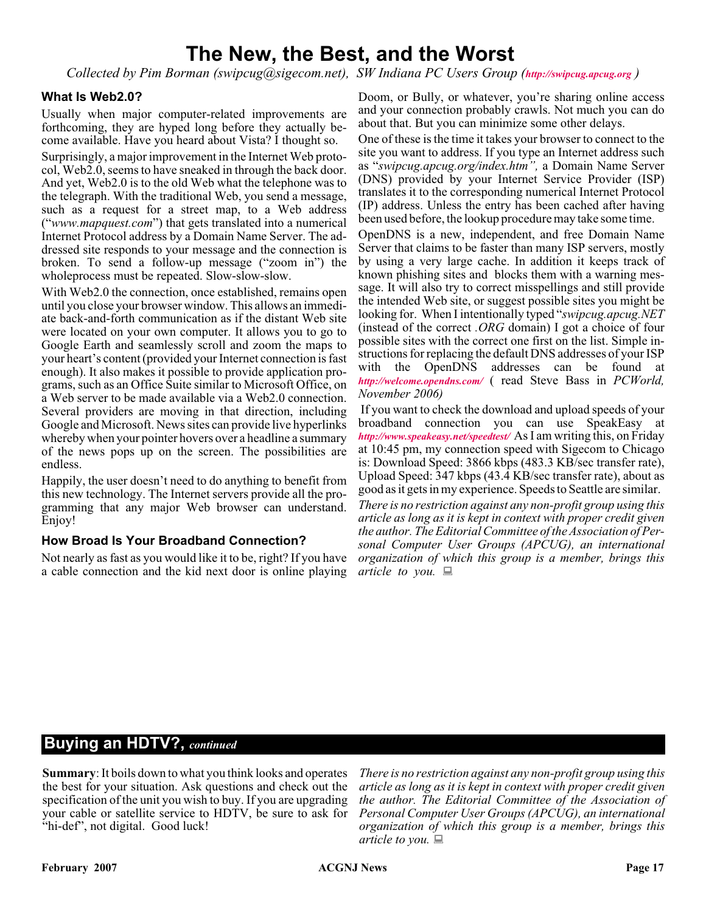## **The New, the Best, and the Worst**

*Collected by Pim Borman (swipcug@sigecom.net), SW Indiana PC Users Group (<http://swipcug.apcug.org> )*

#### **What Is Web2.0?**

Usually when major computer-related improvements are forthcoming, they are hyped long before they actually become available. Have you heard about Vista? I thought so.

Surprisingly, a major improvement in the Internet Web protocol, Web2.0, seems to have sneaked in through the back door. And yet, Web2.0 is to the old Web what the telephone was to the telegraph. With the traditional Web, you send a message, such as a request for a street map, to a Web address ("*www.mapquest.com*") that gets translated into a numerical Internet Protocol address by a Domain Name Server. The addressed site responds to your message and the connection is broken. To send a follow-up message ("zoom in") the wholeprocess must be repeated. Slow-slow-slow.

With Web2.0 the connection, once established, remains open until you close your browser window. This allows an immediate back-and-forth communication as if the distant Web site were located on your own computer. It allows you to go to Google Earth and seamlessly scroll and zoom the maps to your heart's content (provided your Internet connection is fast enough). It also makes it possible to provide application programs, such as an Office Suite similar to Microsoft Office, on a Web server to be made available via a Web2.0 connection. Several providers are moving in that direction, including Google and Microsoft. News sites can provide live hyperlinks whereby when your pointer hovers over a headline a summary of the news pops up on the screen. The possibilities are endless.

Happily, the user doesn't need to do anything to benefit from this new technology. The Internet servers provide all the programming that any major Web browser can understand. Enjoy!

#### **How Broad Is Your Broadband Connection?**

Not nearly as fast as you would like it to be, right? If you have a cable connection and the kid next door is online playing

Doom, or Bully, or whatever, you're sharing online access and your connection probably crawls. Not much you can do about that. But you can minimize some other delays.

One of these is the time it takes your browser to connect to the site you want to address. If you type an Internet address such as "*swipcug.apcug.org/index.htm",* a Domain Name Server (DNS) provided by your Internet Service Provider (ISP) translates it to the corresponding numerical Internet Protocol (IP) address. Unless the entry has been cached after having been used before, the lookup procedure may take some time.

OpenDNS is a new, independent, and free Domain Name Server that claims to be faster than many ISP servers, mostly by using a very large cache. In addition it keeps track of known phishing sites and blocks them with a warning message. It will also try to correct misspellings and still provide the intended Web site, or suggest possible sites you might be looking for. When I intentionally typed "*swipcug.apcug.NET* (instead of the correct *.ORG* domain) I got a choice of four possible sites with the correct one first on the list. Simple instructions for replacing the default DNS addresses of your ISP with the OpenDNS addresses can be found at *<http://welcome.opendns.com/>* ( read Steve Bass in *PCWorld, November 2006)*

If you want to check the download and upload speeds of your broadband connection you can use SpeakEasy at *[http://www.speakeasy.net/speedtest/](http://www.speakeasy.net/speedtest/ )* As I am writing this, on Friday at 10:45 pm, my connection speed with Sigecom to Chicago is: Download Speed: 3866 kbps (483.3 KB/sec transfer rate), Upload Speed: 347 kbps (43.4 KB/sec transfer rate), about as good as it gets in my experience. Speeds to Seattle are similar.

*There is no restriction against any non-profit group using this article as long as it is kept in context with proper credit given the author. The Editorial Committee of the Association of Personal Computer User Groups (APCUG), an international organization of which this group is a member, brings this article to you.*

### **Buying an HDTV?,** *continued*

**Summary**: It boils down to what you think looks and operates the best for your situation. Ask questions and check out the specification of the unit you wish to buy. If you are upgrading your cable or satellite service to HDTV, be sure to ask for "hi-def", not digital. Good luck!

*There is no restriction against any non-profit group using this article as long as it is kept in context with proper credit given the author. The Editorial Committee of the Association of Personal Computer User Groups (APCUG), an international organization of which this group is a member, brings this article to you.*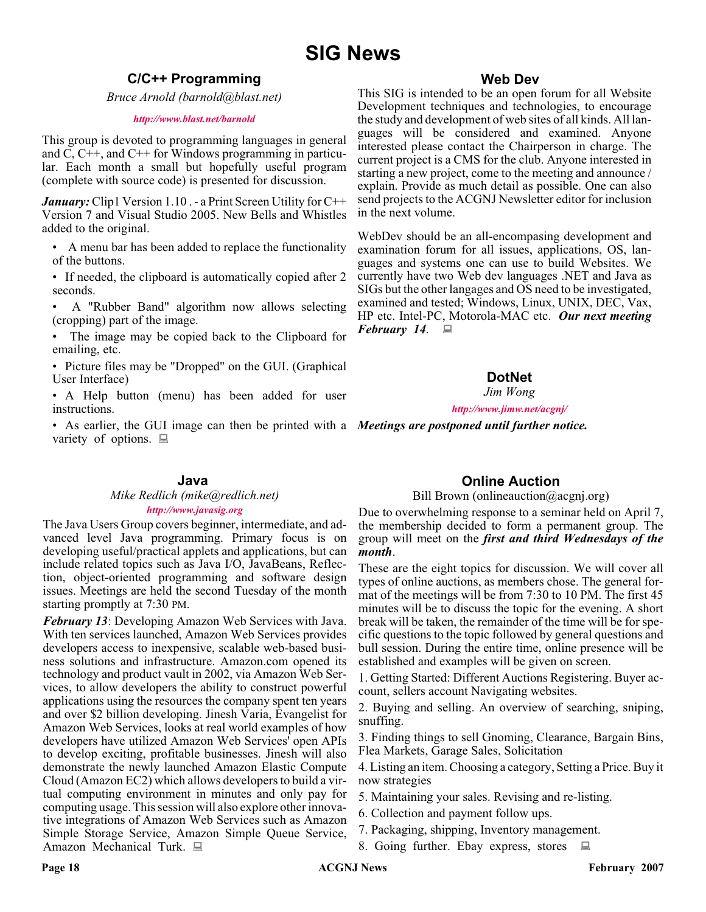## **SIG News**

### **C/C++ Programming**

*Bruce Arnold (barnold@blast.net)*

#### *<http://www.blast.net/barnold>*

This group is devoted to programming languages in general and C, C++, and C++ for Windows programming in particular. Each month a small but hopefully useful program (complete with source code) is presented for discussion.

*January:* Clip1 Version 1.10 . - a Print Screen Utility for C++ Version 7 and Visual Studio 2005. New Bells and Whistles added to the original.

- A menu bar has been added to replace the functionality of the buttons.
- If needed, the clipboard is automatically copied after 2 seconds.
- A "Rubber Band" algorithm now allows selecting (cropping) part of the image.
- The image may be copied back to the Clipboard for emailing, etc.

• Picture files may be "Dropped" on the GUI. (Graphical User Interface)

• A Help button (menu) has been added for user instructions.

• As earlier, the GUI image can then be printed with a *Meetings are postponed until further notice.*variety of options.  $\Box$ 

#### **Java**

#### *Mike Redlich (mike@redlich.net) <http://www.javasig.org>*

The Java Users Group covers beginner, intermediate, and advanced level Java programming. Primary focus is on developing useful/practical applets and applications, but can include related topics such as Java I/O, JavaBeans, Reflection, object-oriented programming and software design issues. Meetings are held the second Tuesday of the month starting promptly at 7:30 PM.

*February 13*: Developing Amazon Web Services with Java. With ten services launched, Amazon Web Services provides developers access to inexpensive, scalable web-based business solutions and infrastructure. Amazon.com opened its technology and product vault in 2002, via Amazon Web Services, to allow developers the ability to construct powerful applications using the resources the company spent ten years and over \$2 billion developing. Jinesh Varia, Evangelist for Amazon Web Services, looks at real world examples of how developers have utilized Amazon Web Services' open APIs to develop exciting, profitable businesses. Jinesh will also demonstrate the newly launched Amazon Elastic Compute Cloud (Amazon EC2) which allows developers to build a virtual computing environment in minutes and only pay for computing usage. This session will also explore other innovative integrations of Amazon Web Services such as Amazon Simple Storage Service, Amazon Simple Queue Service, Amazon Mechanical Turk.

#### **Web Dev**

This SIG is intended to be an open forum for all Website Development techniques and technologies, to encourage the study and development of web sites of all kinds. All languages will be considered and examined. Anyone interested please contact the Chairperson in charge. The current project is a CMS for the club. Anyone interested in starting a new project, come to the meeting and announce / explain. Provide as much detail as possible. One can also send projects to the ACGNJ Newsletter editor for inclusion in the next volume.

WebDev should be an all-encompasing development and examination forum for all issues, applications, OS, languages and systems one can use to build Websites. We currently have two Web dev languages .NET and Java as SIGs but the other langages and OS need to be investigated, examined and tested; Windows, Linux, UNIX, DEC, Vax, HP etc. Intel-PC, Motorola-MAC etc. *Our next meeting February 14*.

### **DotNet**

*Jim Wong*

*<http://www.jimw.net/acgnj/>*

### **Online Auction**

#### Bill Brown (onlineauction  $(\partial \alpha)$  acgniorg)

Due to overwhelming response to a seminar held on April 7, the membership decided to form a permanent group. The group will meet on the *first and third Wednesdays of the month*.

These are the eight topics for discussion. We will cover all types of online auctions, as members chose. The general format of the meetings will be from 7:30 to 10 PM. The first 45 minutes will be to discuss the topic for the evening. A short break will be taken, the remainder of the time will be for specific questions to the topic followed by general questions and bull session. During the entire time, online presence will be established and examples will be given on screen.

1. Getting Started: Different Auctions Registering. Buyer account, sellers account Navigating websites.

2. Buying and selling. An overview of searching, sniping, snuffing.

3. Finding things to sell Gnoming, Clearance, Bargain Bins, Flea Markets, Garage Sales, Solicitation

4. Listing an item. Choosing a category, Setting a Price. Buy it now strategies

- 5. Maintaining your sales. Revising and re-listing.
- 6. Collection and payment follow ups.
- 7. Packaging, shipping, Inventory management.
- 8. Going further. Ebay express, stores  $\Box$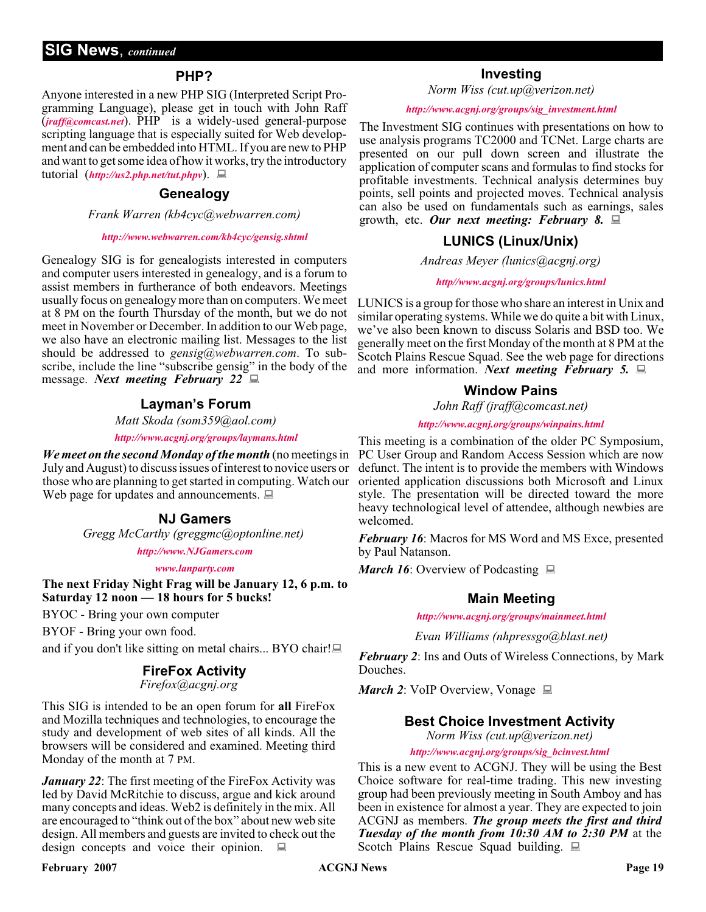#### **PHP?**

Anyone interested in a new PHP SIG (Interpreted Script Programming Language), please get in touch with John Raff (*[jraff@comcast.net](mailto:jraff@comcast.net)*). PHP is a widely-used general-purpose scripting language that is especially suited for Web development and can be embedded into HTML. If you are new to PHP and want to get some idea of how it works, try the introductory tutorial (*<http://us2.php.net/tut.phpv>*).

#### **Genealogy**

*Frank Warren (kb4cyc@webwarren.com)*

#### *<http://www.webwarren.com/kb4cyc/gensig.shtml>*

Genealogy SIG is for genealogists interested in computers and computer users interested in genealogy, and is a forum to assist members in furtherance of both endeavors. Meetings usually focus on genealogy more than on computers. We meet at 8 PM on the fourth Thursday of the month, but we do not meet in November or December. In addition to our Web page, we also have an electronic mailing list. Messages to the list should be addressed to *gensig@webwarren.com*. To subscribe, include the line "subscribe gensig" in the body of the message. *Next meeting February 22*

#### **Layman's Forum**

*Matt Skoda (som359@aol.com)*

*<http://www.acgnj.org/groups/laymans.html>*

*We meet on the second Monday of the month* (no meetings in July and August) to discuss issues of interest to novice users or those who are planning to get started in computing. Watch our Web page for updates and announcements.  $\Box$ 

#### **NJ Gamers**

*Gregg McCarthy (greggmc@optonline.net)*

*<http://www.NJGamers.com>*

*[www.lanparty.com](http://www.lanparty.com)*

**The next Friday Night Frag will be January 12, 6 p.m. to Saturday 12 noon — 18 hours for 5 bucks!**

BYOC - Bring your own computer

BYOF - Bring your own food.

and if you don't like sitting on metal chairs... BYO chair!

### **FireFox Activity**

*Firefox@acgnj.org*

This SIG is intended to be an open forum for **all** FireFox and Mozilla techniques and technologies, to encourage the study and development of web sites of all kinds. All the browsers will be considered and examined. Meeting third Monday of the month at 7 PM.

*January 22*: The first meeting of the FireFox Activity was led by David McRitchie to discuss, argue and kick around many concepts and ideas. Web2 is definitely in the mix. All are encouraged to "think out of the box" about new web site design. All members and guests are invited to check out the design concepts and voice their opinion.

#### **Investing**

*Norm Wiss (cut.up@verizon.net)*

#### *[http://www.acgnj.org/groups/sig\\_investment.html](http://www.acgnj.org/groups/sig_investment.html)*

The Investment SIG continues with presentations on how to use analysis programs TC2000 and TCNet. Large charts are presented on our pull down screen and illustrate the application of computer scans and formulas to find stocks for profitable investments. Technical analysis determines buy points, sell points and projected moves. Technical analysis can also be used on fundamentals such as earnings, sales growth, etc. *Our next meeting: February 8.*

### **LUNICS (Linux/Unix)**

*Andreas Meyer (lunics@acgnj.org)*

#### *<http//www.acgnj.org/groups/lunics.html>*

LUNICS is a group for those who share an interest in Unix and similar operating systems. While we do quite a bit with Linux, we've also been known to discuss Solaris and BSD too. We generally meet on the first Monday of the month at 8 PM at the Scotch Plains Rescue Squad. See the web page for directions and more information. *Next meeting February 5.*

#### **Window Pains**

*John Raff (jraff@comcast.net)*

#### *<http://www.acgnj.org/groups/winpains.html>*

This meeting is a combination of the older PC Symposium, PC User Group and Random Access Session which are now defunct. The intent is to provide the members with Windows oriented application discussions both Microsoft and Linux style. The presentation will be directed toward the more heavy technological level of attendee, although newbies are welcomed.

*February 16*: Macros for MS Word and MS Exce, presented by Paul Natanson.

*March 16*: Overview of Podcasting  $\Box$ 

#### **Main Meeting**

*<http://www.acgnj.org/groups/mainmeet.html>*

*Evan Williams (nhpressgo@blast.net)*

*February 2*: Ins and Outs of Wireless Connections, by Mark Douches.

*March 2*: VoIP Overview, Vonage ■

#### **Best Choice Investment Activity**

*Norm Wiss (cut.up@verizon.net)*

*[http://www.acgnj.org/groups/sig\\_bcinvest.html](http://www.acgnj.org/groups/sig_bcinvest.html)*

This is a new event to ACGNJ. They will be using the Best Choice software for real-time trading. This new investing group had been previously meeting in South Amboy and has been in existence for almost a year. They are expected to join ACGNJ as members. *The group meets the first and third Tuesday of the month from 10:30 AM to 2:30 PM* at the Scotch Plains Rescue Squad building.  $\Box$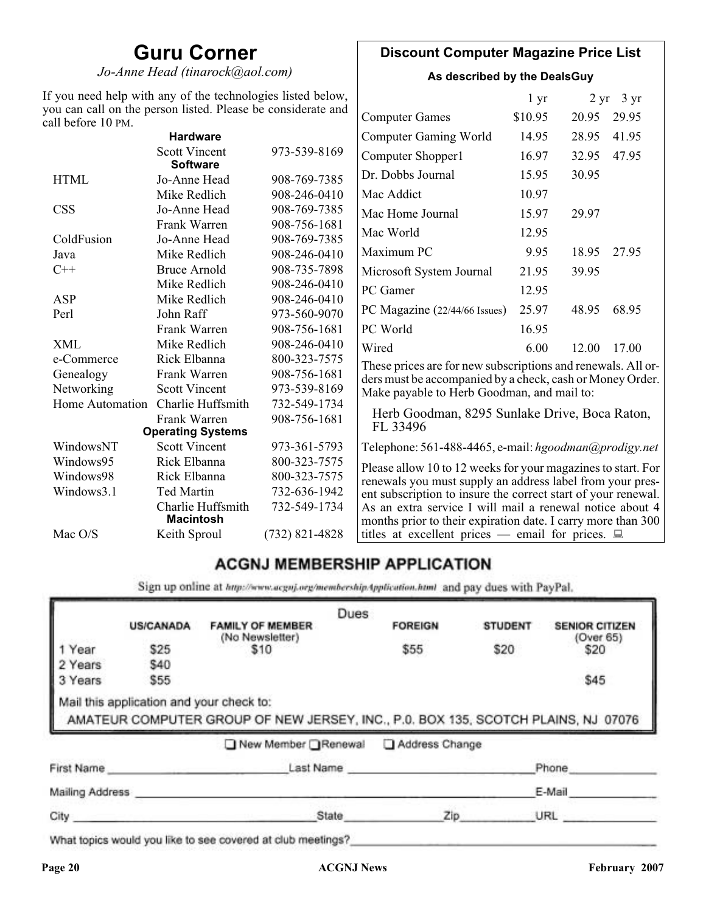## **Guru Corner**

*Jo-Anne Head (tinarock@aol.com)*

### **Discount Computer Magazine Price List**

**As described by the DealsGuy**

| If you need help with any of the technologies listed below,                        |                                         |                  | $1 \, yr$                                                     |         | $2 \text{ yr}$ 3 yr |       |
|------------------------------------------------------------------------------------|-----------------------------------------|------------------|---------------------------------------------------------------|---------|---------------------|-------|
| you can call on the person listed. Please be considerate and<br>call before 10 PM. |                                         |                  | <b>Computer Games</b>                                         | \$10.95 | 20.95               | 29.95 |
|                                                                                    | <b>Hardware</b>                         |                  | <b>Computer Gaming World</b>                                  | 14.95   | 28.95               | 41.95 |
|                                                                                    | <b>Scott Vincent</b><br><b>Software</b> | 973-539-8169     | Computer Shopper1                                             | 16.97   | 32.95               | 47.95 |
| <b>HTML</b>                                                                        | Jo-Anne Head                            | 908-769-7385     | Dr. Dobbs Journal                                             | 15.95   | 30.95               |       |
|                                                                                    | Mike Redlich                            | 908-246-0410     | Mac Addict                                                    | 10.97   |                     |       |
| <b>CSS</b>                                                                         | Jo-Anne Head                            | 908-769-7385     | Mac Home Journal                                              | 15.97   | 29.97               |       |
|                                                                                    | Frank Warren                            | 908-756-1681     | Mac World                                                     | 12.95   |                     |       |
| ColdFusion                                                                         | Jo-Anne Head                            | 908-769-7385     |                                                               |         |                     |       |
| Java                                                                               | Mike Redlich                            | 908-246-0410     | Maximum PC                                                    | 9.95    | 18.95               | 27.95 |
| $C++$                                                                              | <b>Bruce Arnold</b>                     | 908-735-7898     | Microsoft System Journal                                      | 21.95   | 39.95               |       |
|                                                                                    | Mike Redlich                            | 908-246-0410     | PC Gamer                                                      | 12.95   |                     |       |
| ASP                                                                                | Mike Redlich                            | 908-246-0410     |                                                               |         |                     |       |
| Perl                                                                               | John Raff                               | 973-560-9070     | PC Magazine (22/44/66 Issues)                                 | 25.97   | 48.95               | 68.95 |
|                                                                                    | Frank Warren                            | 908-756-1681     | PC World                                                      | 16.95   |                     |       |
| <b>XML</b>                                                                         | Mike Redlich                            | 908-246-0410     | Wired                                                         | 6.00    | 12.00               | 17.00 |
| e-Commerce                                                                         | Rick Elbanna                            | 800-323-7575     | These prices are for new subscriptions and renewals. All or-  |         |                     |       |
| Genealogy                                                                          | Frank Warren                            | 908-756-1681     | ders must be accompanied by a check, cash or Money Order.     |         |                     |       |
| Networking                                                                         | <b>Scott Vincent</b>                    | 973-539-8169     | Make payable to Herb Goodman, and mail to:                    |         |                     |       |
| Home Automation                                                                    | Charlie Huffsmith                       | 732-549-1734     |                                                               |         |                     |       |
|                                                                                    | Frank Warren                            | 908-756-1681     | Herb Goodman, 8295 Sunlake Drive, Boca Raton,<br>FL 33496     |         |                     |       |
|                                                                                    | <b>Operating Systems</b>                |                  |                                                               |         |                     |       |
| WindowsNT                                                                          | <b>Scott Vincent</b>                    | 973-361-5793     | Telephone: 561-488-4465, e-mail: hgoodman@prodigy.net         |         |                     |       |
| Windows95                                                                          | Rick Elbanna                            | 800-323-7575     | Please allow 10 to 12 weeks for your magazines to start. For  |         |                     |       |
| Windows98                                                                          | Rick Elbanna                            | 800-323-7575     | renewals you must supply an address label from your pres-     |         |                     |       |
| Windows3.1                                                                         | <b>Ted Martin</b>                       | 732-636-1942     | ent subscription to insure the correct start of your renewal. |         |                     |       |
|                                                                                    | Charlie Huffsmith                       | 732-549-1734     | As an extra service I will mail a renewal notice about 4      |         |                     |       |
|                                                                                    | <b>Macintosh</b>                        |                  | months prior to their expiration date. I carry more than 300  |         |                     |       |
| Mac O/S                                                                            | Keith Sproul                            | $(732)$ 821-4828 | titles at excellent prices — email for prices. $\Box$         |         |                     |       |

## **ACGNJ MEMBERSHIP APPLICATION**

Sign up online at http://www.acguj.org/membershipApplication.html and pay dues with PayPal.

|                 |                  |                                                                                                                               | Dues      |                |                |                       |
|-----------------|------------------|-------------------------------------------------------------------------------------------------------------------------------|-----------|----------------|----------------|-----------------------|
|                 | <b>US/CANADA</b> | <b>FAMILY OF MEMBER</b>                                                                                                       |           | <b>FOREIGN</b> | <b>STUDENT</b> | <b>SENIOR CITIZEN</b> |
| Year            | \$25             | (No Newsletter)<br>\$10                                                                                                       |           | \$55           | \$20           | (Over 65)<br>\$20     |
| 2 Years         | \$40             |                                                                                                                               |           |                |                |                       |
| 3 Years         | \$55             |                                                                                                                               |           |                |                | \$45                  |
|                 |                  | Mail this application and your check to:<br>AMATEUR COMPUTER GROUP OF NEW JERSEY, INC., P.0. BOX 135, SCOTCH PLAINS, NJ 07076 |           |                |                |                       |
|                 |                  | ■ New Member Renewal                                                                                                          |           | Address Change |                |                       |
| First Name      |                  |                                                                                                                               | Last Name |                |                | Phone                 |
| Mailing Address |                  |                                                                                                                               |           |                |                | E-Mail                |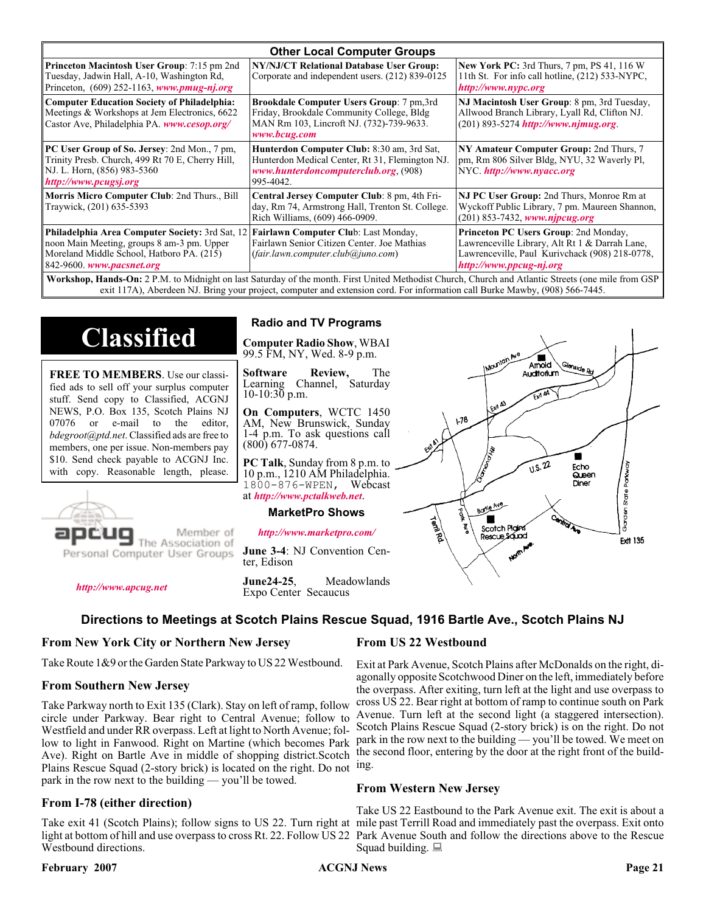| <b>Other Local Computer Groups</b>                                                                                                                        |                                                                                                                                                                                                    |  |  |  |  |
|-----------------------------------------------------------------------------------------------------------------------------------------------------------|----------------------------------------------------------------------------------------------------------------------------------------------------------------------------------------------------|--|--|--|--|
| NY/NJ/CT Relational Database User Group:<br>Corporate and independent users. (212) 839-0125                                                               | <b>New York PC:</b> 3rd Thurs, 7 pm, PS 41, 116 W<br>11th St. For info call hotline, (212) 533-NYPC,<br>http://www.nypc.org                                                                        |  |  |  |  |
| <b>Brookdale Computer Users Group:</b> 7 pm, 3rd<br>Friday, Brookdale Community College, Bldg<br>MAN Rm 103, Lincroft NJ. (732)-739-9633.<br>www.bcug.com | NJ Macintosh User Group: 8 pm, 3rd Tuesday,<br>Allwood Branch Library, Lyall Rd, Clifton NJ.<br>$(201) 893 - 5274$ http://www.njmug.org                                                            |  |  |  |  |
| Hunterdon Computer Club: 8:30 am, 3rd Sat,<br>Hunterdon Medical Center, Rt 31, Flemington NJ.<br>www.hunterdoncomputerclub.org. (908)<br>995-4042.        | NY Amateur Computer Group: 2nd Thurs, 7<br>pm, Rm 806 Silver Bldg, NYU, 32 Waverly Pl,<br>NYC http://www.nyacc.org                                                                                 |  |  |  |  |
| Central Jersey Computer Club: 8 pm, 4th Fri-<br>day, Rm 74, Armstrong Hall, Trenton St. College.<br>Rich Williams, (609) 466-0909.                        | NJ PC User Group: 2nd Thurs, Monroe Rm at<br>Wyckoff Public Library, 7 pm. Maureen Shannon,<br>$(201)$ 853-7432, www.nipcug.org                                                                    |  |  |  |  |
| Fairlawn Computer Club: Last Monday,<br>Fairlawn Senior Citizen Center. Joe Mathias<br>(fair.lawn.computer.club@juno.com)                                 | Princeton PC Users Group: 2nd Monday,<br>Lawrenceville Library, Alt Rt 1 & Darrah Lane,<br>Lawrenceville, Paul Kurivchack (908) 218-0778,<br>http://www.ppcug-nj.org                               |  |  |  |  |
|                                                                                                                                                           | Philadelphia Area Computer Society: 3rd Sat, 12<br>Workshop Hands-On: 2 PM to Midnight on last Saturday of the month First United Methodist Church Church and Atlantic Streets (one mile from GSP) |  |  |  |  |

ht on last Saturday of the month. First United Methodist Church, Church and Atlantic Streets (one mile from G exit 117A), Aberdeen NJ. Bring your project, computer and extension cord. For information call Burke Mawby, (908) 566-7445.

## **Classified**

**FREE TO MEMBERS**. Use our classified ads to sell off your surplus computer stuff. Send copy to Classified, ACGNJ NEWS, P.O. Box 135, Scotch Plains NJ 07076 or e-mail to the editor, *bdegroot@ptd.net*. Classified ads are free to members, one per issue. Non-members pay \$10. Send check payable to ACGNJ Inc. with copy. Reasonable length, please.



Member of The Association of

Personal Computer User Groups

*<http://www.apcug.net>*

#### **Radio and TV Programs**

**Computer Radio Show**, WBAI 99.5 FM, NY, Wed. 8-9 p.m.

**Software Review,** The Channel, Saturday  $10-10:30$  p.m.

**On Computers**, WCTC 1450 AM, New Brunswick, Sunday 1-4 p.m. To ask questions call (800) 677-0874.

**PC Talk**, Sunday from 8 p.m. to 10 p.m., 1210 AM Philadelphia. 1800-876-WPEN, Webcast at *<http://www.pctalkweb.net>*.

#### **MarketPro Shows**

*<http://www.marketpro.com/>*

**June 3-4**: NJ Convention Center, Edison

**June24-25**, Meadowlands Expo Center Secaucus

#### **Directions to Meetings at Scotch Plains Rescue Squad, 1916 Bartle Ave., Scotch Plains NJ**

#### **From New York City or Northern New Jersey**

Take Route 1&9 or the Garden State Parkway to US 22 Westbound.

#### **From Southern New Jersey**

Take Parkway north to Exit 135 (Clark). Stay on left of ramp, follow circle under Parkway. Bear right to Central Avenue; follow to Westfield and under RR overpass. Left at light to North Avenue; follow to light in Fanwood. Right on Martine (which becomes Park Ave). Right on Bartle Ave in middle of shopping district.Scotch Plains Rescue Squad (2-story brick) is located on the right. Do not ing. park in the row next to the building — you'll be towed.

#### **From I-78 (either direction)**

Take exit 41 (Scotch Plains); follow signs to US 22. Turn right at mile past Terrill Road and immediately past the overpass. Exit onto light at bottom of hill and use overpass to cross Rt. 22. Follow US 22 Park Avenue South and follow the directions above to the Rescue Westbound directions.

#### **February 2007 CONS Page 21 CONS Page 21 Page 21**

#### **From US 22 Westbound**

Territors

 $178$ 

Borle Ave

Scotch Pigins

Rescue Sound

Exit at Park Avenue, Scotch Plains after McDonalds on the right, diagonally opposite Scotchwood Diner on the left, immediately before the overpass. After exiting, turn left at the light and use overpass to cross US 22. Bear right at bottom of ramp to continue south on Park Avenue. Turn left at the second light (a staggered intersection). Scotch Plains Rescue Squad (2-story brick) is on the right. Do not park in the row next to the building — you'll be towed. We meet on the second floor, entering by the door at the right front of the build-

Amold Auditorium

 $\sqrt{1.5.22}$ 

ш

Echo Queen

Diner

Garden State Park

**Ext1 135** 

#### **From Western New Jersey**

Take US 22 Eastbound to the Park Avenue exit. The exit is about a Squad building.  $\Box$